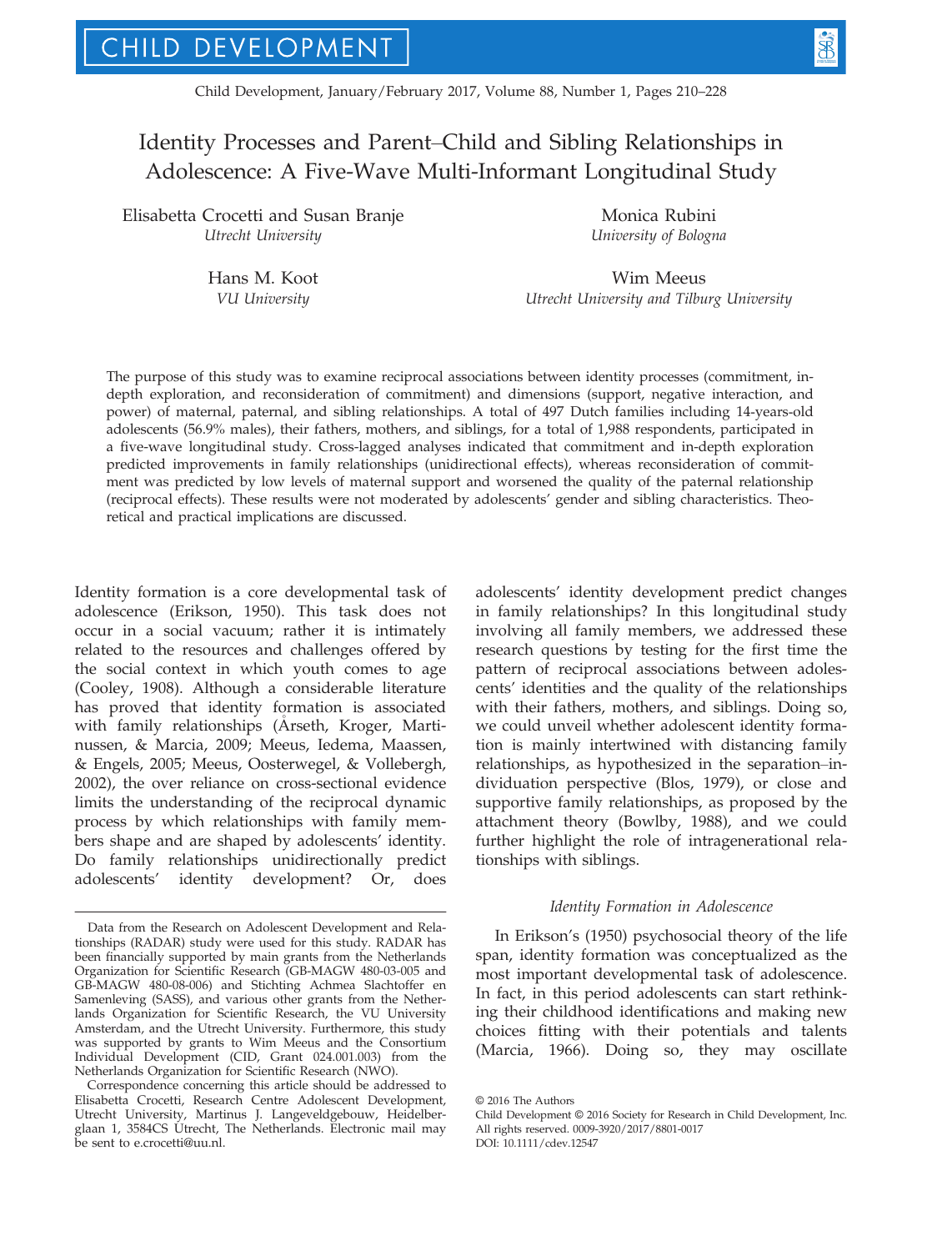Child Development, January/February 2017, Volume 88, Number 1, Pages 210–228



# Identity Processes and Parent–Child and Sibling Relationships in Adolescence: A Five-Wave Multi-Informant Longitudinal Study

Elisabetta Crocetti and Susan Branje Utrecht University

Monica Rubini University of Bologna

Hans M. Koot VU University

Wim Meeus Utrecht University and Tilburg University

The purpose of this study was to examine reciprocal associations between identity processes (commitment, indepth exploration, and reconsideration of commitment) and dimensions (support, negative interaction, and power) of maternal, paternal, and sibling relationships. A total of 497 Dutch families including 14-years-old adolescents (56.9% males), their fathers, mothers, and siblings, for a total of 1,988 respondents, participated in a five-wave longitudinal study. Cross-lagged analyses indicated that commitment and in-depth exploration predicted improvements in family relationships (unidirectional effects), whereas reconsideration of commitment was predicted by low levels of maternal support and worsened the quality of the paternal relationship (reciprocal effects). These results were not moderated by adolescents' gender and sibling characteristics. Theoretical and practical implications are discussed.

Identity formation is a core developmental task of adolescence (Erikson, 1950). This task does not occur in a social vacuum; rather it is intimately related to the resources and challenges offered by the social context in which youth comes to age (Cooley, 1908). Although a considerable literature has proved that identity formation is associated with family relationships (Arseth, Kroger, Marti nussen, & Marcia, 2009; Meeus, Iedema, Maassen, & Engels, 2005; Meeus, Oosterwegel, & Vollebergh, 2002), the over reliance on cross-sectional evidence limits the understanding of the reciprocal dynamic process by which relationships with family members shape and are shaped by adolescents' identity. Do family relationships unidirectionally predict adolescents' identity development? Or, does

adolescents' identity development predict changes in family relationships? In this longitudinal study involving all family members, we addressed these research questions by testing for the first time the pattern of reciprocal associations between adolescents' identities and the quality of the relationships with their fathers, mothers, and siblings. Doing so, we could unveil whether adolescent identity formation is mainly intertwined with distancing family relationships, as hypothesized in the separation–individuation perspective (Blos, 1979), or close and supportive family relationships, as proposed by the attachment theory (Bowlby, 1988), and we could further highlight the role of intragenerational relationships with siblings.

### Identity Formation in Adolescence

In Erikson's (1950) psychosocial theory of the life span, identity formation was conceptualized as the most important developmental task of adolescence. In fact, in this period adolescents can start rethinking their childhood identifications and making new choices fitting with their potentials and talents (Marcia, 1966). Doing so, they may oscillate

Data from the Research on Adolescent Development and Relationships (RADAR) study were used for this study. RADAR has been financially supported by main grants from the Netherlands Organization for Scientific Research (GB-MAGW 480-03-005 and GB-MAGW 480-08-006) and Stichting Achmea Slachtoffer en Samenleving (SASS), and various other grants from the Netherlands Organization for Scientific Research, the VU University Amsterdam, and the Utrecht University. Furthermore, this study was supported by grants to Wim Meeus and the Consortium Individual Development (CID, Grant 024.001.003) from the Netherlands Organization for Scientific Research (NWO).

Correspondence concerning this article should be addressed to Elisabetta Crocetti, Research Centre Adolescent Development, Utrecht University, Martinus J. Langeveldgebouw, Heidelberglaan 1, 3584CS Utrecht, The Netherlands. Electronic mail may be sent to e.crocetti@uu.nl.

<sup>©</sup> 2016 The Authors

Child Development © 2016 Society for Research in Child Development, Inc. All rights reserved. 0009-3920/2017/8801-0017

DOI: 10.1111/cdev.12547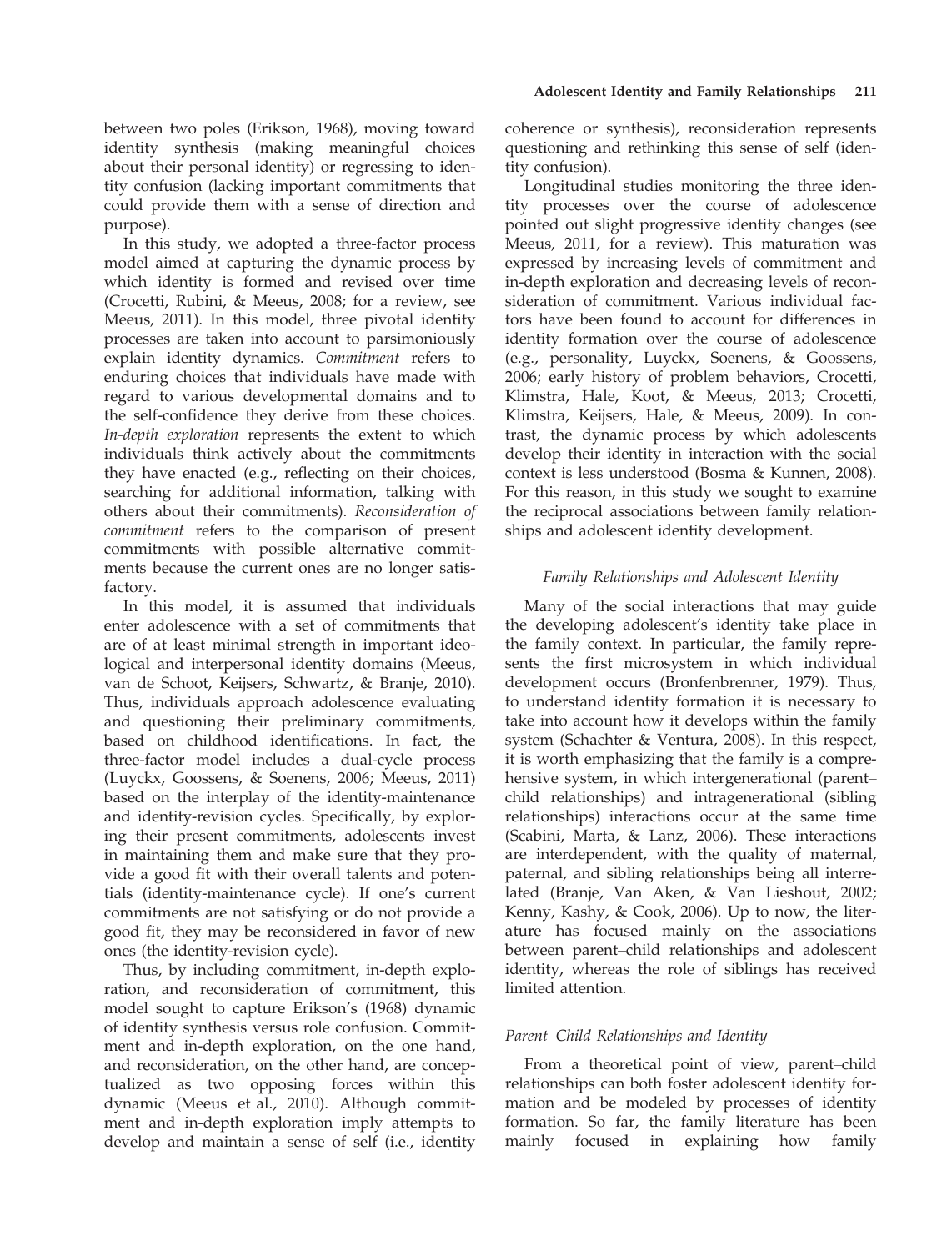identity synthesis (making meaningful choices about their personal identity) or regressing to identity confusion (lacking important commitments that could provide them with a sense of direction and purpose).

In this study, we adopted a three-factor process model aimed at capturing the dynamic process by which identity is formed and revised over time (Crocetti, Rubini, & Meeus, 2008; for a review, see Meeus, 2011). In this model, three pivotal identity processes are taken into account to parsimoniously explain identity dynamics. Commitment refers to enduring choices that individuals have made with regard to various developmental domains and to the self-confidence they derive from these choices. In-depth exploration represents the extent to which individuals think actively about the commitments they have enacted (e.g., reflecting on their choices, searching for additional information, talking with others about their commitments). Reconsideration of commitment refers to the comparison of present commitments with possible alternative commitments because the current ones are no longer satisfactory.

In this model, it is assumed that individuals enter adolescence with a set of commitments that are of at least minimal strength in important ideological and interpersonal identity domains (Meeus, van de Schoot, Keijsers, Schwartz, & Branje, 2010). Thus, individuals approach adolescence evaluating and questioning their preliminary commitments, based on childhood identifications. In fact, the three-factor model includes a dual-cycle process (Luyckx, Goossens, & Soenens, 2006; Meeus, 2011) based on the interplay of the identity-maintenance and identity-revision cycles. Specifically, by exploring their present commitments, adolescents invest in maintaining them and make sure that they provide a good fit with their overall talents and potentials (identity-maintenance cycle). If one's current commitments are not satisfying or do not provide a good fit, they may be reconsidered in favor of new ones (the identity-revision cycle).

Thus, by including commitment, in-depth exploration, and reconsideration of commitment, this model sought to capture Erikson's (1968) dynamic of identity synthesis versus role confusion. Commitment and in-depth exploration, on the one hand, and reconsideration, on the other hand, are conceptualized as two opposing forces within this dynamic (Meeus et al., 2010). Although commitment and in-depth exploration imply attempts to develop and maintain a sense of self (i.e., identity

coherence or synthesis), reconsideration represents questioning and rethinking this sense of self (identity confusion).

Longitudinal studies monitoring the three identity processes over the course of adolescence pointed out slight progressive identity changes (see Meeus, 2011, for a review). This maturation was expressed by increasing levels of commitment and in-depth exploration and decreasing levels of reconsideration of commitment. Various individual factors have been found to account for differences in identity formation over the course of adolescence (e.g., personality, Luyckx, Soenens, & Goossens, 2006; early history of problem behaviors, Crocetti, Klimstra, Hale, Koot, & Meeus, 2013; Crocetti, Klimstra, Keijsers, Hale, & Meeus, 2009). In contrast, the dynamic process by which adolescents develop their identity in interaction with the social context is less understood (Bosma & Kunnen, 2008). For this reason, in this study we sought to examine the reciprocal associations between family relationships and adolescent identity development.

# Family Relationships and Adolescent Identity

Many of the social interactions that may guide the developing adolescent's identity take place in the family context. In particular, the family represents the first microsystem in which individual development occurs (Bronfenbrenner, 1979). Thus, to understand identity formation it is necessary to take into account how it develops within the family system (Schachter & Ventura, 2008). In this respect, it is worth emphasizing that the family is a comprehensive system, in which intergenerational (parent– child relationships) and intragenerational (sibling relationships) interactions occur at the same time (Scabini, Marta, & Lanz, 2006). These interactions are interdependent, with the quality of maternal, paternal, and sibling relationships being all interrelated (Branje, Van Aken, & Van Lieshout, 2002; Kenny, Kashy, & Cook, 2006). Up to now, the literature has focused mainly on the associations between parent–child relationships and adolescent identity, whereas the role of siblings has received limited attention.

# Parent–Child Relationships and Identity

From a theoretical point of view, parent–child relationships can both foster adolescent identity formation and be modeled by processes of identity formation. So far, the family literature has been mainly focused in explaining how family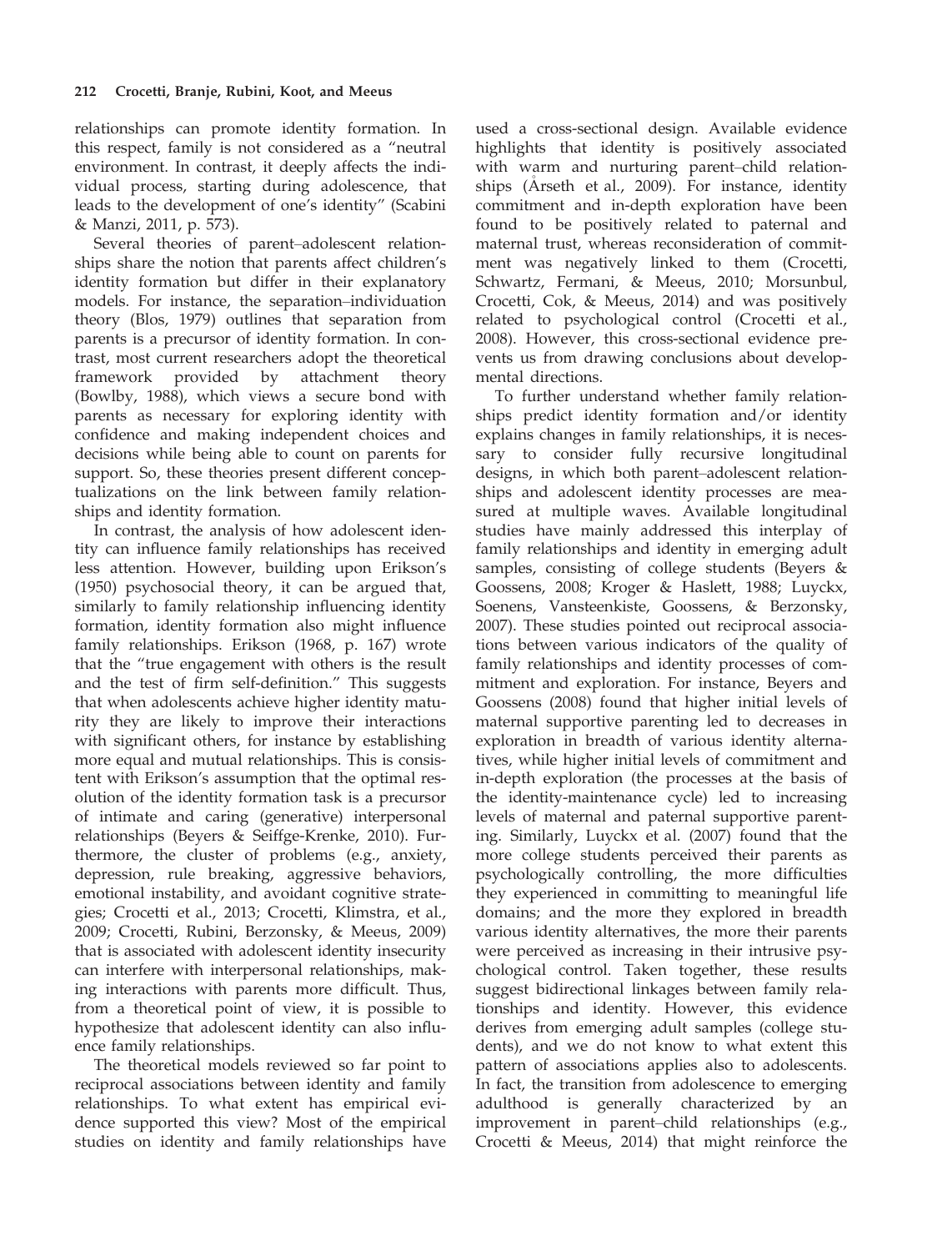relationships can promote identity formation. In this respect, family is not considered as a "neutral environment. In contrast, it deeply affects the individual process, starting during adolescence, that leads to the development of one's identity" (Scabini & Manzi, 2011, p. 573).

Several theories of parent–adolescent relationships share the notion that parents affect children's identity formation but differ in their explanatory models. For instance, the separation–individuation theory (Blos, 1979) outlines that separation from parents is a precursor of identity formation. In contrast, most current researchers adopt the theoretical framework provided by attachment theory (Bowlby, 1988), which views a secure bond with parents as necessary for exploring identity with confidence and making independent choices and decisions while being able to count on parents for support. So, these theories present different conceptualizations on the link between family relationships and identity formation.

In contrast, the analysis of how adolescent identity can influence family relationships has received less attention. However, building upon Erikson's (1950) psychosocial theory, it can be argued that, similarly to family relationship influencing identity formation, identity formation also might influence family relationships. Erikson (1968, p. 167) wrote that the "true engagement with others is the result and the test of firm self-definition." This suggests that when adolescents achieve higher identity maturity they are likely to improve their interactions with significant others, for instance by establishing more equal and mutual relationships. This is consistent with Erikson's assumption that the optimal resolution of the identity formation task is a precursor of intimate and caring (generative) interpersonal relationships (Beyers & Seiffge-Krenke, 2010). Furthermore, the cluster of problems (e.g., anxiety, depression, rule breaking, aggressive behaviors, emotional instability, and avoidant cognitive strategies; Crocetti et al., 2013; Crocetti, Klimstra, et al., 2009; Crocetti, Rubini, Berzonsky, & Meeus, 2009) that is associated with adolescent identity insecurity can interfere with interpersonal relationships, making interactions with parents more difficult. Thus, from a theoretical point of view, it is possible to hypothesize that adolescent identity can also influence family relationships.

The theoretical models reviewed so far point to reciprocal associations between identity and family relationships. To what extent has empirical evidence supported this view? Most of the empirical studies on identity and family relationships have

used a cross-sectional design. Available evidence highlights that identity is positively associated with warm and nurturing parent–child relationships (Arseth et al., 2009). For instance, identity commitment and in-depth exploration have been found to be positively related to paternal and maternal trust, whereas reconsideration of commitment was negatively linked to them (Crocetti, Schwartz, Fermani, & Meeus, 2010; Morsunbul, Crocetti, Cok, & Meeus, 2014) and was positively related to psychological control (Crocetti et al., 2008). However, this cross-sectional evidence prevents us from drawing conclusions about developmental directions.

To further understand whether family relationships predict identity formation and/or identity explains changes in family relationships, it is necessary to consider fully recursive longitudinal designs, in which both parent–adolescent relationships and adolescent identity processes are measured at multiple waves. Available longitudinal studies have mainly addressed this interplay of family relationships and identity in emerging adult samples, consisting of college students (Beyers & Goossens, 2008; Kroger & Haslett, 1988; Luyckx, Soenens, Vansteenkiste, Goossens, & Berzonsky, 2007). These studies pointed out reciprocal associations between various indicators of the quality of family relationships and identity processes of commitment and exploration. For instance, Beyers and Goossens (2008) found that higher initial levels of maternal supportive parenting led to decreases in exploration in breadth of various identity alternatives, while higher initial levels of commitment and in-depth exploration (the processes at the basis of the identity-maintenance cycle) led to increasing levels of maternal and paternal supportive parenting. Similarly, Luyckx et al. (2007) found that the more college students perceived their parents as psychologically controlling, the more difficulties they experienced in committing to meaningful life domains; and the more they explored in breadth various identity alternatives, the more their parents were perceived as increasing in their intrusive psychological control. Taken together, these results suggest bidirectional linkages between family relationships and identity. However, this evidence derives from emerging adult samples (college students), and we do not know to what extent this pattern of associations applies also to adolescents. In fact, the transition from adolescence to emerging adulthood is generally characterized by an improvement in parent–child relationships (e.g., Crocetti & Meeus, 2014) that might reinforce the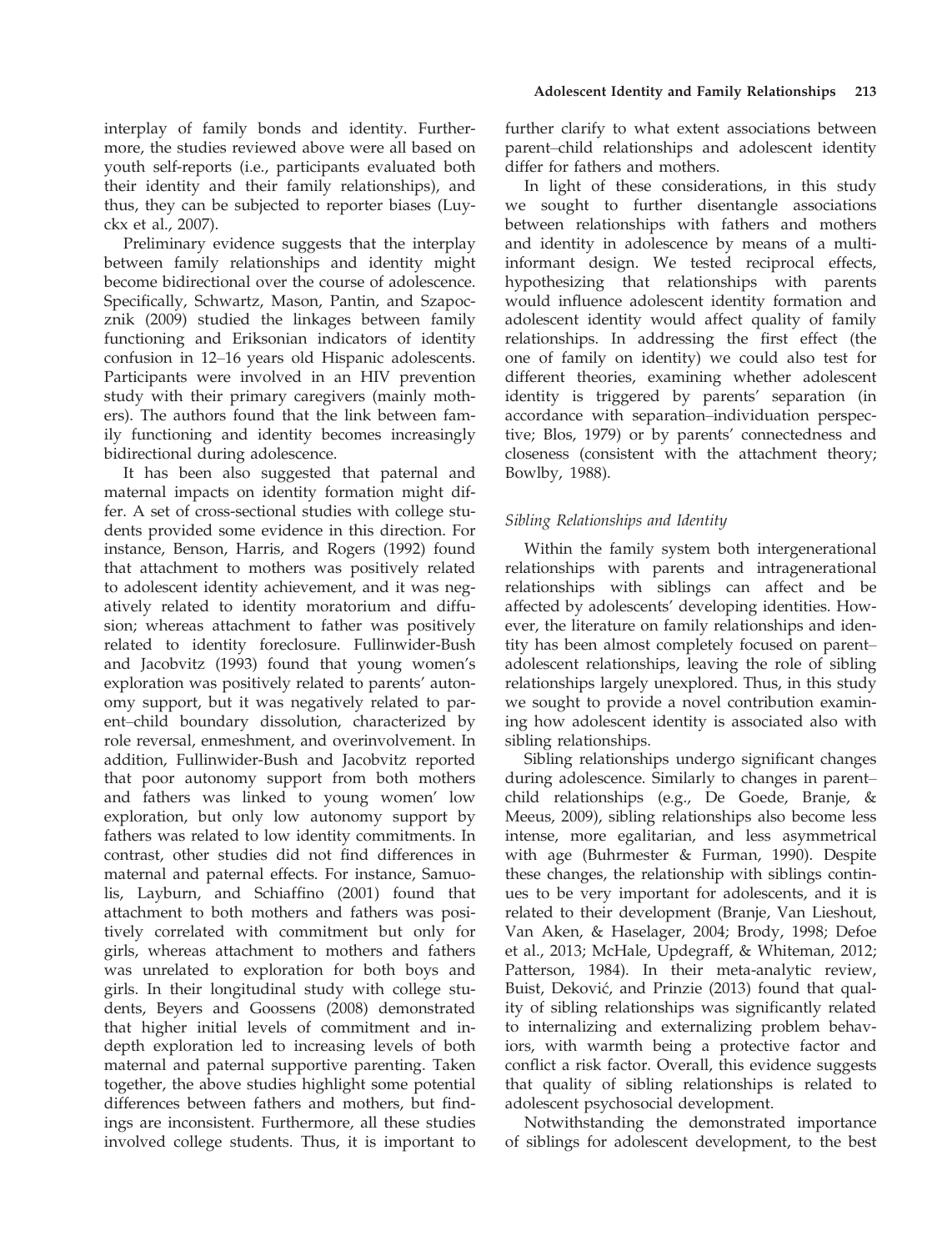interplay of family bonds and identity. Furthermore, the studies reviewed above were all based on youth self-reports (i.e., participants evaluated both their identity and their family relationships), and thus, they can be subjected to reporter biases (Luyckx et al., 2007).

Preliminary evidence suggests that the interplay between family relationships and identity might become bidirectional over the course of adolescence. Specifically, Schwartz, Mason, Pantin, and Szapocznik (2009) studied the linkages between family functioning and Eriksonian indicators of identity confusion in 12–16 years old Hispanic adolescents. Participants were involved in an HIV prevention study with their primary caregivers (mainly mothers). The authors found that the link between family functioning and identity becomes increasingly bidirectional during adolescence.

It has been also suggested that paternal and maternal impacts on identity formation might differ. A set of cross-sectional studies with college students provided some evidence in this direction. For instance, Benson, Harris, and Rogers (1992) found that attachment to mothers was positively related to adolescent identity achievement, and it was negatively related to identity moratorium and diffusion; whereas attachment to father was positively related to identity foreclosure. Fullinwider-Bush and Jacobvitz (1993) found that young women's exploration was positively related to parents' autonomy support, but it was negatively related to parent–child boundary dissolution, characterized by role reversal, enmeshment, and overinvolvement. In addition, Fullinwider-Bush and Jacobvitz reported that poor autonomy support from both mothers and fathers was linked to young women' low exploration, but only low autonomy support by fathers was related to low identity commitments. In contrast, other studies did not find differences in maternal and paternal effects. For instance, Samuolis, Layburn, and Schiaffino (2001) found that attachment to both mothers and fathers was positively correlated with commitment but only for girls, whereas attachment to mothers and fathers was unrelated to exploration for both boys and girls. In their longitudinal study with college students, Beyers and Goossens (2008) demonstrated that higher initial levels of commitment and indepth exploration led to increasing levels of both maternal and paternal supportive parenting. Taken together, the above studies highlight some potential differences between fathers and mothers, but findings are inconsistent. Furthermore, all these studies involved college students. Thus, it is important to further clarify to what extent associations between parent–child relationships and adolescent identity differ for fathers and mothers.

In light of these considerations, in this study we sought to further disentangle associations between relationships with fathers and mothers and identity in adolescence by means of a multiinformant design. We tested reciprocal effects, hypothesizing that relationships with parents would influence adolescent identity formation and adolescent identity would affect quality of family relationships. In addressing the first effect (the one of family on identity) we could also test for different theories, examining whether adolescent identity is triggered by parents' separation (in accordance with separation–individuation perspective; Blos, 1979) or by parents' connectedness and closeness (consistent with the attachment theory; Bowlby, 1988).

# Sibling Relationships and Identity

Within the family system both intergenerational relationships with parents and intragenerational relationships with siblings can affect and be affected by adolescents' developing identities. However, the literature on family relationships and identity has been almost completely focused on parent– adolescent relationships, leaving the role of sibling relationships largely unexplored. Thus, in this study we sought to provide a novel contribution examining how adolescent identity is associated also with sibling relationships.

Sibling relationships undergo significant changes during adolescence. Similarly to changes in parent– child relationships (e.g., De Goede, Branje, & Meeus, 2009), sibling relationships also become less intense, more egalitarian, and less asymmetrical with age (Buhrmester & Furman, 1990). Despite these changes, the relationship with siblings continues to be very important for adolescents, and it is related to their development (Branje, Van Lieshout, Van Aken, & Haselager, 2004; Brody, 1998; Defoe et al., 2013; McHale, Updegraff, & Whiteman, 2012; Patterson, 1984). In their meta-analytic review, Buist, Deković, and Prinzie (2013) found that quality of sibling relationships was significantly related to internalizing and externalizing problem behaviors, with warmth being a protective factor and conflict a risk factor. Overall, this evidence suggests that quality of sibling relationships is related to adolescent psychosocial development.

Notwithstanding the demonstrated importance of siblings for adolescent development, to the best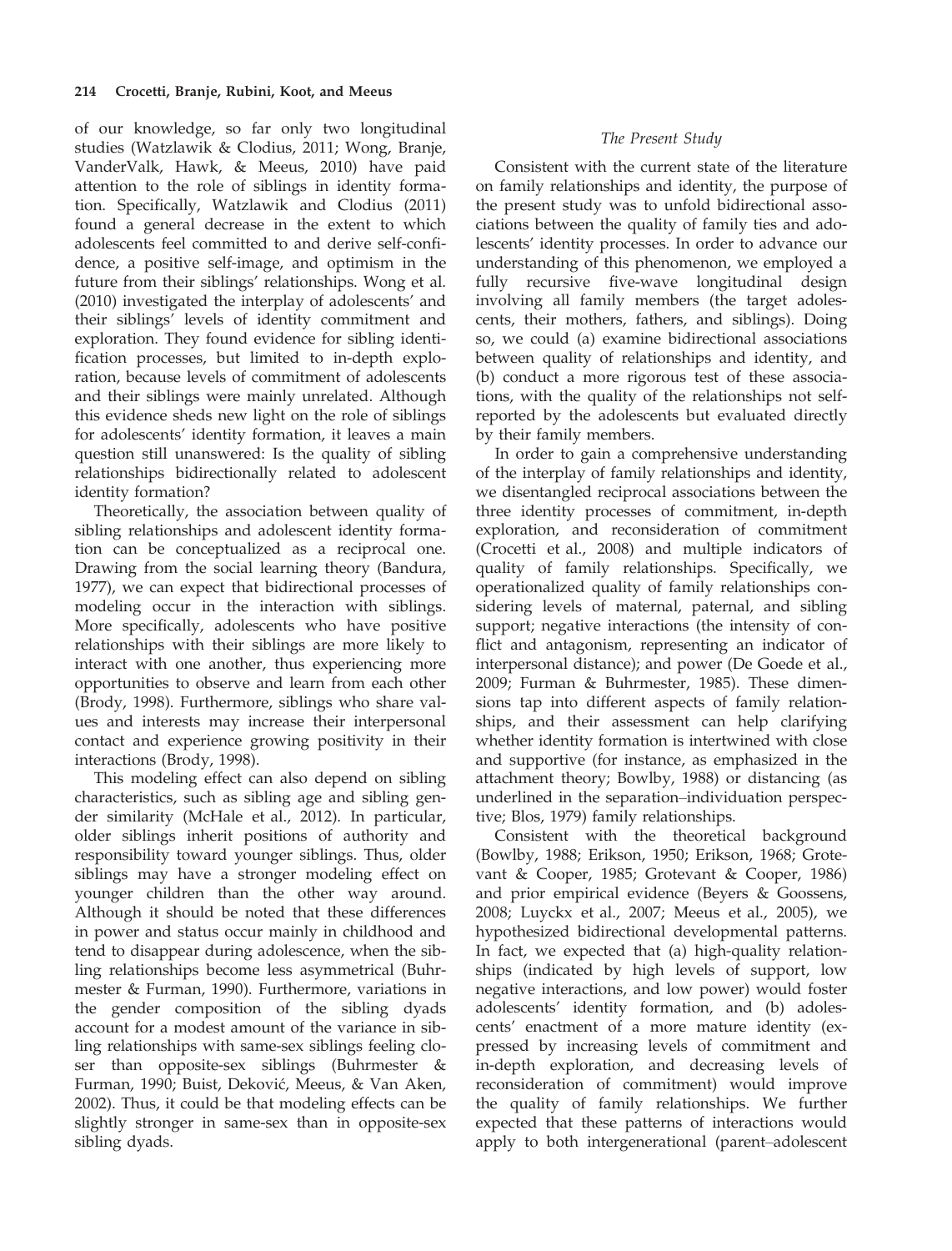of our knowledge, so far only two longitudinal studies (Watzlawik & Clodius, 2011; Wong, Branje, VanderValk, Hawk, & Meeus, 2010) have paid attention to the role of siblings in identity formation. Specifically, Watzlawik and Clodius (2011) found a general decrease in the extent to which adolescents feel committed to and derive self-confidence, a positive self-image, and optimism in the future from their siblings' relationships. Wong et al. (2010) investigated the interplay of adolescents' and their siblings' levels of identity commitment and exploration. They found evidence for sibling identification processes, but limited to in-depth exploration, because levels of commitment of adolescents and their siblings were mainly unrelated. Although this evidence sheds new light on the role of siblings for adolescents' identity formation, it leaves a main question still unanswered: Is the quality of sibling relationships bidirectionally related to adolescent identity formation?

Theoretically, the association between quality of sibling relationships and adolescent identity formation can be conceptualized as a reciprocal one. Drawing from the social learning theory (Bandura, 1977), we can expect that bidirectional processes of modeling occur in the interaction with siblings. More specifically, adolescents who have positive relationships with their siblings are more likely to interact with one another, thus experiencing more opportunities to observe and learn from each other (Brody, 1998). Furthermore, siblings who share values and interests may increase their interpersonal contact and experience growing positivity in their interactions (Brody, 1998).

This modeling effect can also depend on sibling characteristics, such as sibling age and sibling gender similarity (McHale et al., 2012). In particular, older siblings inherit positions of authority and responsibility toward younger siblings. Thus, older siblings may have a stronger modeling effect on younger children than the other way around. Although it should be noted that these differences in power and status occur mainly in childhood and tend to disappear during adolescence, when the sibling relationships become less asymmetrical (Buhrmester & Furman, 1990). Furthermore, variations in the gender composition of the sibling dyads account for a modest amount of the variance in sibling relationships with same-sex siblings feeling closer than opposite-sex siblings (Buhrmester & Furman, 1990; Buist, Dekovic, Meeus, & Van Aken, 2002). Thus, it could be that modeling effects can be slightly stronger in same-sex than in opposite-sex sibling dyads.

# The Present Study

Consistent with the current state of the literature on family relationships and identity, the purpose of the present study was to unfold bidirectional associations between the quality of family ties and adolescents' identity processes. In order to advance our understanding of this phenomenon, we employed a fully recursive five-wave longitudinal design involving all family members (the target adolescents, their mothers, fathers, and siblings). Doing so, we could (a) examine bidirectional associations between quality of relationships and identity, and (b) conduct a more rigorous test of these associations, with the quality of the relationships not selfreported by the adolescents but evaluated directly by their family members.

In order to gain a comprehensive understanding of the interplay of family relationships and identity, we disentangled reciprocal associations between the three identity processes of commitment, in-depth exploration, and reconsideration of commitment (Crocetti et al., 2008) and multiple indicators of quality of family relationships. Specifically, we operationalized quality of family relationships considering levels of maternal, paternal, and sibling support; negative interactions (the intensity of conflict and antagonism, representing an indicator of interpersonal distance); and power (De Goede et al., 2009; Furman & Buhrmester, 1985). These dimensions tap into different aspects of family relationships, and their assessment can help clarifying whether identity formation is intertwined with close and supportive (for instance, as emphasized in the attachment theory; Bowlby, 1988) or distancing (as underlined in the separation–individuation perspective; Blos, 1979) family relationships.

Consistent with the theoretical background (Bowlby, 1988; Erikson, 1950; Erikson, 1968; Grotevant & Cooper, 1985; Grotevant & Cooper, 1986) and prior empirical evidence (Beyers & Goossens, 2008; Luyckx et al., 2007; Meeus et al., 2005), we hypothesized bidirectional developmental patterns. In fact, we expected that (a) high-quality relationships (indicated by high levels of support, low negative interactions, and low power) would foster adolescents' identity formation, and (b) adolescents' enactment of a more mature identity (expressed by increasing levels of commitment and in-depth exploration, and decreasing levels of reconsideration of commitment) would improve the quality of family relationships. We further expected that these patterns of interactions would apply to both intergenerational (parent–adolescent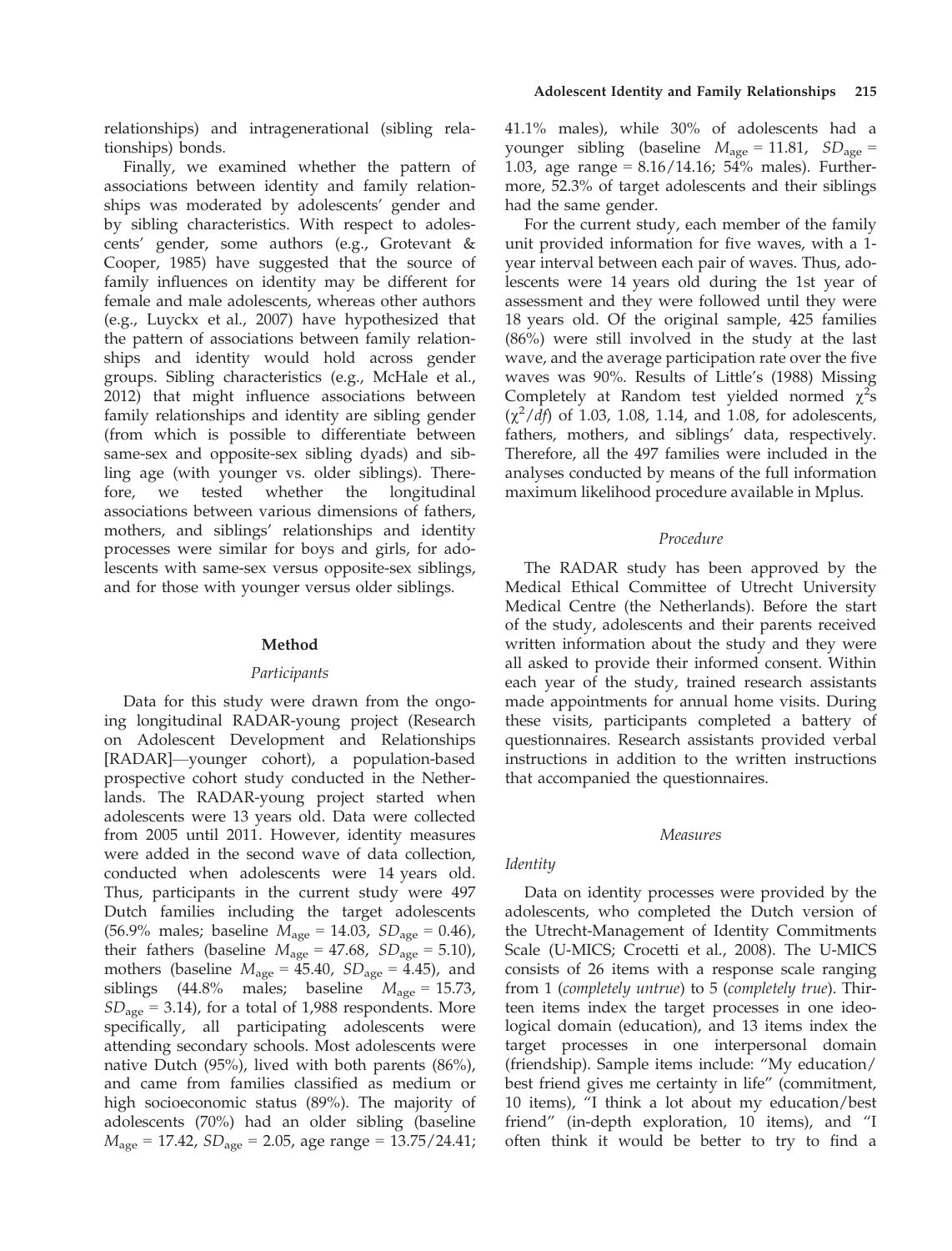relationships) and intragenerational (sibling relationships) bonds.

Finally, we examined whether the pattern of associations between identity and family relationships was moderated by adolescents' gender and by sibling characteristics. With respect to adolescents' gender, some authors (e.g., Grotevant & Cooper, 1985) have suggested that the source of family influences on identity may be different for female and male adolescents, whereas other authors (e.g., Luyckx et al., 2007) have hypothesized that the pattern of associations between family relationships and identity would hold across gender groups. Sibling characteristics (e.g., McHale et al., 2012) that might influence associations between family relationships and identity are sibling gender (from which is possible to differentiate between same-sex and opposite-sex sibling dyads) and sibling age (with younger vs. older siblings). Therefore, we tested whether the longitudinal associations between various dimensions of fathers, mothers, and siblings' relationships and identity processes were similar for boys and girls, for adolescents with same-sex versus opposite-sex siblings, and for those with younger versus older siblings.

#### Method

#### Participants

Data for this study were drawn from the ongoing longitudinal RADAR-young project (Research on Adolescent Development and Relationships [RADAR]—younger cohort), a population-based prospective cohort study conducted in the Netherlands. The RADAR-young project started when adolescents were 13 years old. Data were collected from 2005 until 2011. However, identity measures were added in the second wave of data collection, conducted when adolescents were 14 years old. Thus, participants in the current study were 497 Dutch families including the target adolescents (56.9% males; baseline  $M_{\text{age}} = 14.03$ ,  $SD_{\text{age}} = 0.46$ ), their fathers (baseline  $M_{\text{age}} = 47.68$ ,  $SD_{\text{age}} = 5.10$ ), mothers (baseline  $M_{\text{age}} = 45.40$ ,  $SD_{\text{age}} = 4.45$ ), and siblings (44.8% males; baseline  $M_{\text{age}} = 15.73$ ,  $SD<sub>age</sub> = 3.14$ ), for a total of 1,988 respondents. More specifically, all participating adolescents were attending secondary schools. Most adolescents were native Dutch (95%), lived with both parents (86%), and came from families classified as medium or high socioeconomic status (89%). The majority of adolescents (70%) had an older sibling (baseline  $M_{\text{age}} = 17.42$ ,  $SD_{\text{age}} = 2.05$ , age range = 13.75/24.41;

41.1% males), while 30% of adolescents had a younger sibling (baseline  $M_{\text{age}} = 11.81$ ,  $SD_{\text{age}} =$ 1.03, age range =  $8.16/14.16$ ;  $54\%$  males). Furthermore, 52.3% of target adolescents and their siblings had the same gender.

For the current study, each member of the family unit provided information for five waves, with a 1 year interval between each pair of waves. Thus, adolescents were 14 years old during the 1st year of assessment and they were followed until they were 18 years old. Of the original sample, 425 families (86%) were still involved in the study at the last wave, and the average participation rate over the five waves was 90%. Results of Little's (1988) Missing Completely at Random test yielded normed  $\chi^2$ s  $(\chi^2/df)$  of 1.03, 1.08, 1.14, and 1.08, for adolescents, fathers, mothers, and siblings' data, respectively. Therefore, all the 497 families were included in the analyses conducted by means of the full information maximum likelihood procedure available in Mplus.

### Procedure

The RADAR study has been approved by the Medical Ethical Committee of Utrecht University Medical Centre (the Netherlands). Before the start of the study, adolescents and their parents received written information about the study and they were all asked to provide their informed consent. Within each year of the study, trained research assistants made appointments for annual home visits. During these visits, participants completed a battery of questionnaires. Research assistants provided verbal instructions in addition to the written instructions that accompanied the questionnaires.

#### Measures

#### **Identity**

Data on identity processes were provided by the adolescents, who completed the Dutch version of the Utrecht-Management of Identity Commitments Scale (U-MICS; Crocetti et al., 2008). The U-MICS consists of 26 items with a response scale ranging from 1 (completely untrue) to 5 (completely true). Thirteen items index the target processes in one ideological domain (education), and 13 items index the target processes in one interpersonal domain (friendship). Sample items include: "My education/ best friend gives me certainty in life" (commitment, 10 items), "I think a lot about my education/best friend" (in-depth exploration, 10 items), and "I often think it would be better to try to find a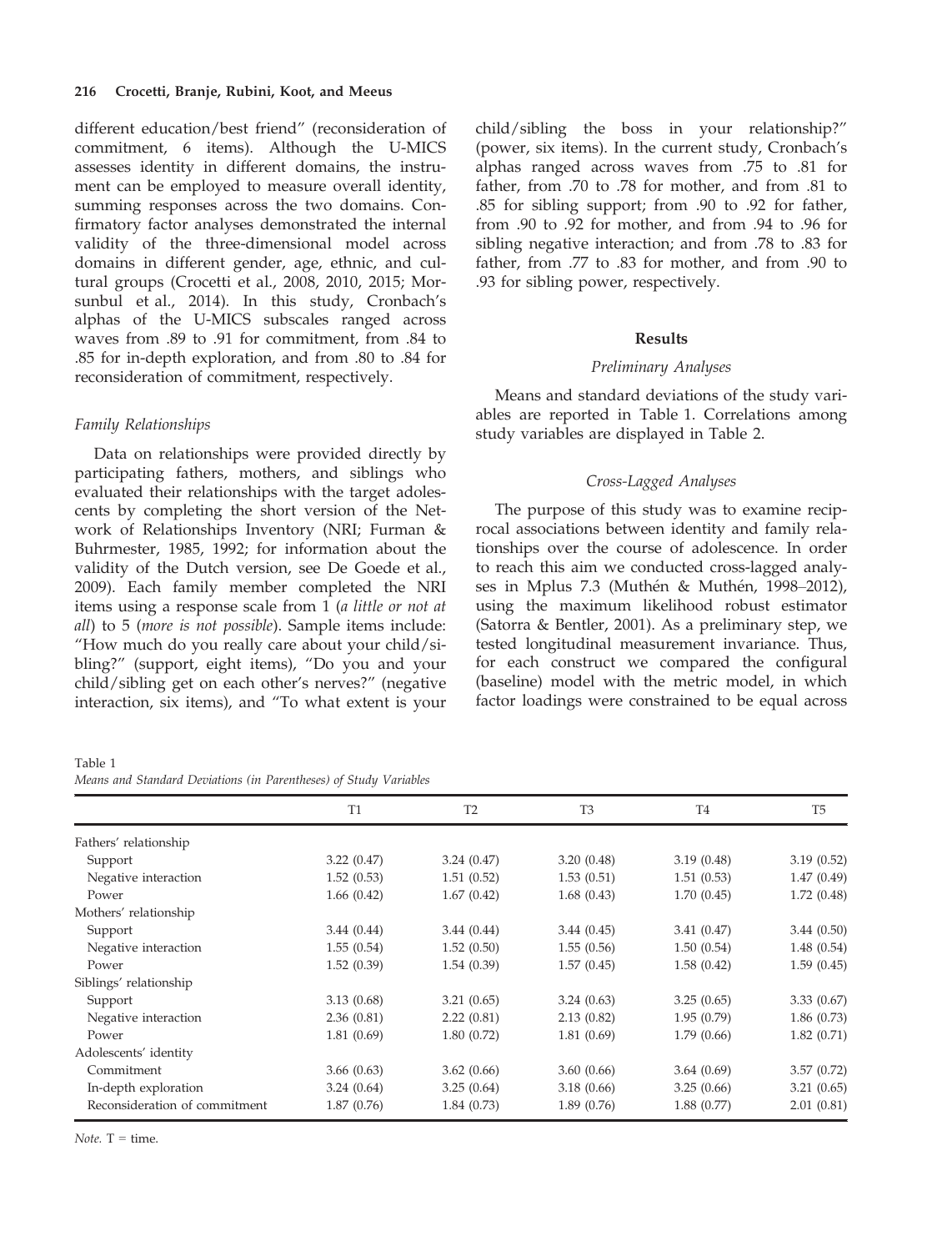different education/best friend" (reconsideration of commitment, 6 items). Although the U-MICS assesses identity in different domains, the instrument can be employed to measure overall identity, summing responses across the two domains. Confirmatory factor analyses demonstrated the internal validity of the three-dimensional model across domains in different gender, age, ethnic, and cultural groups (Crocetti et al., 2008, 2010, 2015; Morsunbul et al., 2014). In this study, Cronbach's alphas of the U-MICS subscales ranged across waves from .89 to .91 for commitment, from .84 to .85 for in-depth exploration, and from .80 to .84 for reconsideration of commitment, respectively.

### Family Relationships

Data on relationships were provided directly by participating fathers, mothers, and siblings who evaluated their relationships with the target adolescents by completing the short version of the Network of Relationships Inventory (NRI; Furman & Buhrmester, 1985, 1992; for information about the validity of the Dutch version, see De Goede et al., 2009). Each family member completed the NRI items using a response scale from 1 (a little or not at all) to 5 (more is not possible). Sample items include: "How much do you really care about your child/sibling?" (support, eight items), "Do you and your child/sibling get on each other's nerves?" (negative interaction, six items), and "To what extent is your

Table 1 Means and Standard Deviations (in Parentheses) of Study Variables

child/sibling the boss in your relationship?" (power, six items). In the current study, Cronbach's alphas ranged across waves from .75 to .81 for father, from .70 to .78 for mother, and from .81 to .85 for sibling support; from .90 to .92 for father, from .90 to .92 for mother, and from .94 to .96 for sibling negative interaction; and from .78 to .83 for father, from .77 to .83 for mother, and from .90 to .93 for sibling power, respectively.

### Results

#### Preliminary Analyses

Means and standard deviations of the study variables are reported in Table 1. Correlations among study variables are displayed in Table 2.

### Cross-Lagged Analyses

The purpose of this study was to examine reciprocal associations between identity and family relationships over the course of adolescence. In order to reach this aim we conducted cross-lagged analyses in Mplus 7.3 (Muthén & Muthén, 1998–2012), using the maximum likelihood robust estimator (Satorra & Bentler, 2001). As a preliminary step, we tested longitudinal measurement invariance. Thus, for each construct we compared the configural (baseline) model with the metric model, in which factor loadings were constrained to be equal across

|                               | T <sub>1</sub> | T <sub>2</sub> | T <sub>3</sub> | T <sub>4</sub> | T <sub>5</sub> |
|-------------------------------|----------------|----------------|----------------|----------------|----------------|
| Fathers' relationship         |                |                |                |                |                |
| Support                       | 3.22(0.47)     | 3.24(0.47)     | 3.20(0.48)     | 3.19(0.48)     | 3.19(0.52)     |
| Negative interaction          | 1.52(0.53)     | 1.51(0.52)     | 1.53(0.51)     | 1.51(0.53)     | 1.47(0.49)     |
| Power                         | 1.66(0.42)     | 1.67(0.42)     | 1.68(0.43)     | 1.70(0.45)     | 1.72(0.48)     |
| Mothers' relationship         |                |                |                |                |                |
| Support                       | 3.44(0.44)     | 3.44(0.44)     | 3.44(0.45)     | 3.41(0.47)     | 3.44(0.50)     |
| Negative interaction          | 1.55(0.54)     | 1.52(0.50)     | 1.55(0.56)     | 1.50(0.54)     | 1.48(0.54)     |
| Power                         | 1.52(0.39)     | 1.54(0.39)     | 1.57(0.45)     | 1.58(0.42)     | 1.59(0.45)     |
| Siblings' relationship        |                |                |                |                |                |
| Support                       | 3.13(0.68)     | 3.21(0.65)     | 3.24(0.63)     | 3.25(0.65)     | 3.33(0.67)     |
| Negative interaction          | 2.36(0.81)     | 2.22(0.81)     | 2.13(0.82)     | 1.95(0.79)     | 1.86(0.73)     |
| Power                         | 1.81(0.69)     | 1.80(0.72)     | 1.81(0.69)     | 1.79(0.66)     | 1.82(0.71)     |
| Adolescents' identity         |                |                |                |                |                |
| Commitment                    | 3.66(0.63)     | 3.62(0.66)     | 3.60(0.66)     | 3.64(0.69)     | 3.57(0.72)     |
| In-depth exploration          | 3.24(0.64)     | 3.25(0.64)     | 3.18(0.66)     | 3.25(0.66)     | 3.21(0.65)     |
| Reconsideration of commitment | 1.87(0.76)     | 1.84(0.73)     | 1.89(0.76)     | 1.88(0.77)     | 2.01(0.81)     |

Note.  $T =$  time.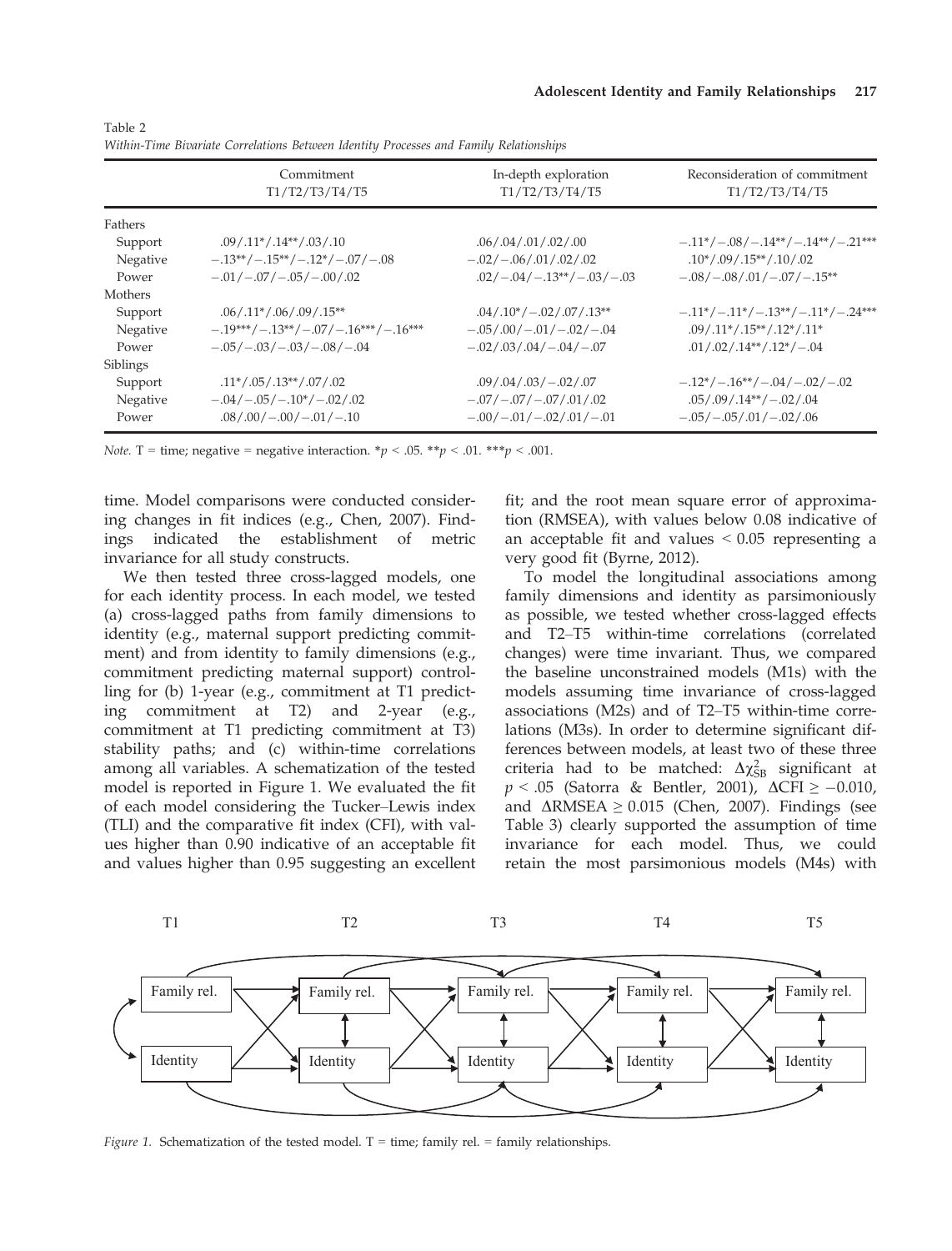|          | Commitment<br>T1/T2/T3/T4/T5     | In-depth exploration<br>T1/T2/T3/T4/T5 | Reconsideration of commitment<br>T1/T2/T3/T4/T5 |
|----------|----------------------------------|----------------------------------------|-------------------------------------------------|
| Fathers  |                                  |                                        |                                                 |
| Support  | $.09/.11*/.14**/.03/.10$         | .06/0.04/0.01/0.02/0.00                | $-.11*/-.08/-.14**/-.14**/-.21***$              |
| Negative | $-.13**/-.15**/-.12*/-.07/-.08$  | $-.02/-.06/.01/.02/.02$                | $.10*/.09/.15**/.10/.02$                        |
| Power    | $-.01/-.07/-.05/-.00/.02$        | $.02/-.04/-.13**/-.03/-.03$            | $-.08/-0.08/.01/-0.07/-0.15**$                  |
| Mothers  |                                  |                                        |                                                 |
| Support  | $.06/0.11*/0.06/0.09/0.15**$     | $.04/.10*/-.02/.07/.13**$              | $-.11*/-.11*/-.13**/-.11*/-.24***$              |
| Negative | $-19***/-13**/-07/-16***/-16***$ | $-.05/.00/-.01/-.02/-.04$              | $.09/.11*/.15**/.12*/.11*$                      |
| Power    | $-.05/-.03/-.03/-.08/-.04$       | $-.02/.03/.04/-.04/-.07$               | $.01/.02/.14**/.12*/-.04$                       |
| Siblings |                                  |                                        |                                                 |
| Support  | $.11*/.05/.13**/.07/.02$         | .09/0.04/0.03/0.02/0.07                | $-.12^{\ast}/-.16^{\ast\ast}/-.04/-.02/-.02$    |
| Negative | $-.04/-.05/-.10*/-.02/.02$       | $-.07/-.07/-.07/.01/.02$               | $.05/.09/.14**/-.02/.04$                        |
| Power    | $.08 / .00 / -.00 / -.01 / -.10$ | $-.00/-.01/-.02/.01/-.01$              | $-.05/-.05/.01/-.02/.06$                        |

Table 2 Within-Time Bivariate Correlations Between Identity Processes and Family Relationships

Note. T = time; negative = negative interaction.  $\bm{\gamma}$  < .05.  $\bm{\gamma}$  < .01.  $\bm{\gamma}$  = .001.

time. Model comparisons were conducted considering changes in fit indices (e.g., Chen, 2007). Findings indicated the establishment of metric invariance for all study constructs.

We then tested three cross-lagged models, one for each identity process. In each model, we tested (a) cross-lagged paths from family dimensions to identity (e.g., maternal support predicting commitment) and from identity to family dimensions (e.g., commitment predicting maternal support) controlling for (b) 1-year (e.g., commitment at T1 predicting commitment at T2) and 2-year (e.g., commitment at T1 predicting commitment at T3) stability paths; and (c) within-time correlations among all variables. A schematization of the tested model is reported in Figure 1. We evaluated the fit of each model considering the Tucker–Lewis index (TLI) and the comparative fit index (CFI), with values higher than 0.90 indicative of an acceptable fit and values higher than 0.95 suggesting an excellent fit; and the root mean square error of approximation (RMSEA), with values below 0.08 indicative of an acceptable fit and values < 0.05 representing a very good fit (Byrne, 2012).

To model the longitudinal associations among family dimensions and identity as parsimoniously as possible, we tested whether cross-lagged effects and T2–T5 within-time correlations (correlated changes) were time invariant. Thus, we compared the baseline unconstrained models (M1s) with the models assuming time invariance of cross-lagged associations (M2s) and of T2–T5 within-time correlations (M3s). In order to determine significant differences between models, at least two of these three criteria had to be matched:  $\Delta \chi_{SB}^2$  significant at  $p < .05$  (Satorra & Bentler, 2001),  $\Delta$ CFI  $\ge -0.010$ , and  $\Delta$ RMSEA  $\geq$  0.015 (Chen, 2007). Findings (see Table 3) clearly supported the assumption of time invariance for each model. Thus, we could retain the most parsimonious models (M4s) with



*Figure 1.* Schematization of the tested model.  $T =$  time; family rel. = family relationships.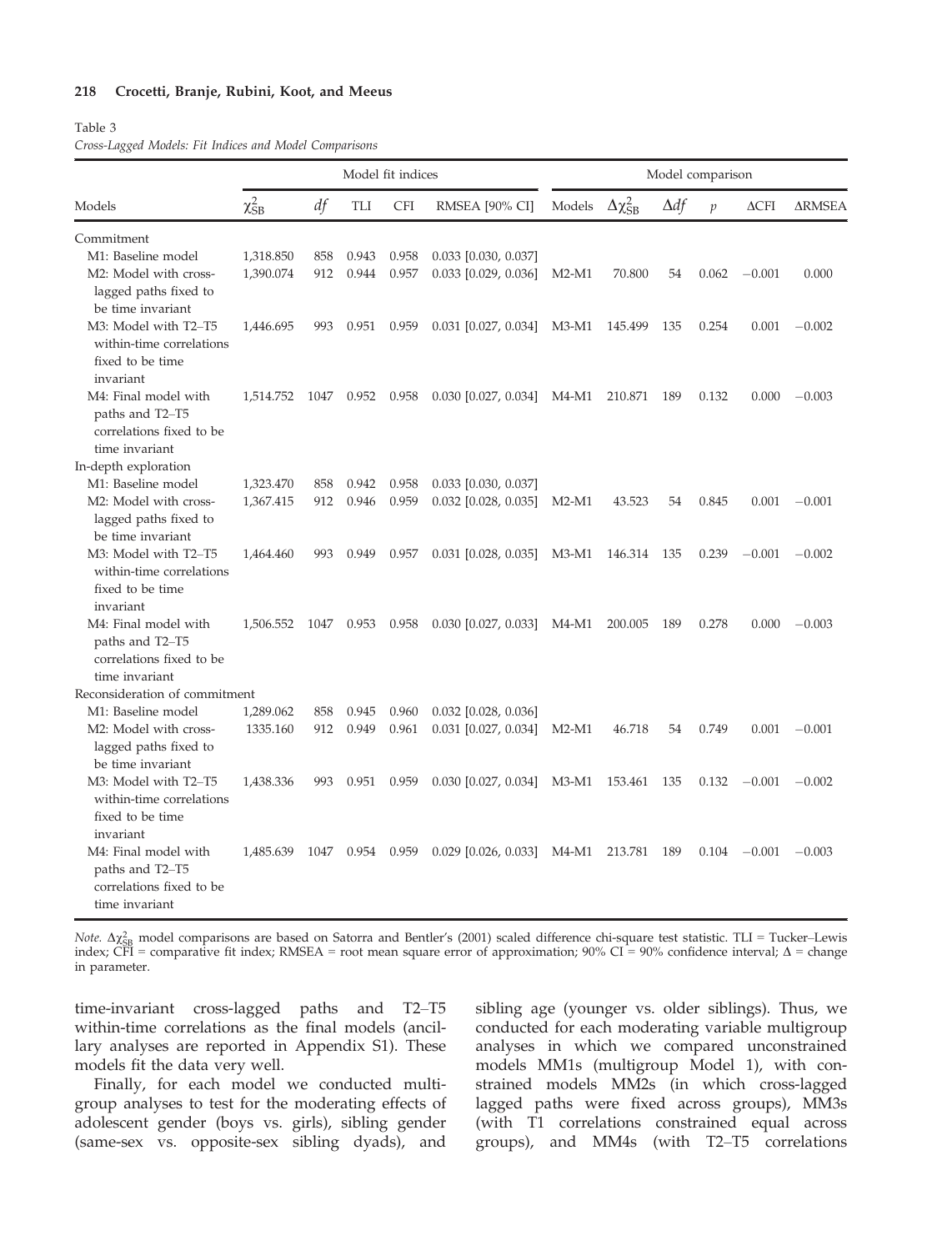#### Table 3

Cross-Lagged Models: Fit Indices and Model Comparisons

|                                                                                       | Model fit indices |      |       |            |                              |         | Model comparison        |             |               |              |               |  |
|---------------------------------------------------------------------------------------|-------------------|------|-------|------------|------------------------------|---------|-------------------------|-------------|---------------|--------------|---------------|--|
| Models                                                                                | $\chi^2_{\rm SB}$ | df   | TLI   | <b>CFI</b> | <b>RMSEA</b> [90% CI]        | Models  | $\Delta\chi^2_{\rm SB}$ | $\Delta df$ | $\mathcal{D}$ | $\Delta$ CFI | <b>ARMSEA</b> |  |
| Commitment                                                                            |                   |      |       |            |                              |         |                         |             |               |              |               |  |
| M1: Baseline model                                                                    | 1,318.850         | 858  | 0.943 | 0.958      | $0.033$ [0.030, 0.037]       |         |                         |             |               |              |               |  |
| M2: Model with cross-<br>lagged paths fixed to<br>be time invariant                   | 1,390.074         | 912  | 0.944 | 0.957      | $0.033$ [0.029, 0.036]       | $M2-M1$ | 70.800                  | 54          | 0.062         | $-0.001$     | 0.000         |  |
| M3: Model with T2-T5<br>within-time correlations<br>fixed to be time<br>invariant     | 1,446.695         | 993  | 0.951 | 0.959      | $0.031$ [0.027, 0.034]       | $M3-M1$ | 145.499                 | 135         | 0.254         | 0.001        | $-0.002$      |  |
| M4: Final model with<br>paths and T2-T5<br>correlations fixed to be<br>time invariant | 1,514.752         | 1047 | 0.952 | 0.958      | $0.030$ [0.027, 0.034] M4-M1 |         | 210.871                 | 189         | 0.132         | 0.000        | $-0.003$      |  |
| In-depth exploration                                                                  |                   |      |       |            |                              |         |                         |             |               |              |               |  |
| M1: Baseline model                                                                    | 1,323.470         | 858  | 0.942 | 0.958      | $0.033$ [0.030, 0.037]       |         |                         |             |               |              |               |  |
| M2: Model with cross-<br>lagged paths fixed to<br>be time invariant                   | 1,367.415         | 912  | 0.946 | 0.959      | $0.032$ [0.028, 0.035]       | $M2-M1$ | 43.523                  | 54          | 0.845         | 0.001        | $-0.001$      |  |
| M3: Model with T2-T5<br>within-time correlations<br>fixed to be time<br>invariant     | 1,464.460         | 993  | 0.949 | 0.957      | $0.031$ [0.028, 0.035]       | $M3-M1$ | 146.314                 | 135         | 0.239         | $-0.001$     | $-0.002$      |  |
| M4: Final model with<br>paths and T2-T5<br>correlations fixed to be<br>time invariant | 1,506.552         | 1047 | 0.953 | 0.958      | $0.030$ [0.027, 0.033]       | M4-M1   | 200.005                 | 189         | 0.278         | 0.000        | $-0.003$      |  |
| Reconsideration of commitment                                                         |                   |      |       |            |                              |         |                         |             |               |              |               |  |
| M1: Baseline model                                                                    | 1,289.062         | 858  | 0.945 | 0.960      | $0.032$ [0.028, 0.036]       |         |                         |             |               |              |               |  |
| M2: Model with cross-<br>lagged paths fixed to<br>be time invariant                   | 1335.160          | 912  | 0.949 | 0.961      | $0.031$ [0.027, 0.034]       | $M2-M1$ | 46.718                  | 54          | 0.749         | 0.001        | $-0.001$      |  |
| M3: Model with T2-T5<br>within-time correlations<br>fixed to be time<br>invariant     | 1,438.336         | 993  | 0.951 | 0.959      | $0.030$ [0.027, 0.034]       | $M3-M1$ | 153.461                 | 135         | 0.132         | $-0.001$     | $-0.002$      |  |
| M4: Final model with<br>paths and T2–T5<br>correlations fixed to be<br>time invariant | 1.485.639         | 1047 | 0.954 | 0.959      | $0.029$ [0.026, 0.033]       | $M4-M1$ | 213.781                 | 189         | 0.104         | $-0.001$     | $-0.003$      |  |

Note.  $\Delta \chi_{\rm SB}^2$  model comparisons are based on Satorra and Bentler's (2001) scaled difference chi-square test statistic. TLI = Tucker–Lewis index;  $\overrightarrow{CFI}$  = comparative fit index; RMSEA = root mean square error of approximation; 90% CI = 90% confidence interval;  $\Delta$  = change in parameter.

time-invariant cross-lagged paths and T2–T5 within-time correlations as the final models (ancillary analyses are reported in Appendix S1). These models fit the data very well.

Finally, for each model we conducted multigroup analyses to test for the moderating effects of adolescent gender (boys vs. girls), sibling gender (same-sex vs. opposite-sex sibling dyads), and sibling age (younger vs. older siblings). Thus, we conducted for each moderating variable multigroup analyses in which we compared unconstrained models MM1s (multigroup Model 1), with constrained models MM2s (in which cross-lagged lagged paths were fixed across groups), MM3s (with T1 correlations constrained equal across groups), and MM4s (with T2–T5 correlations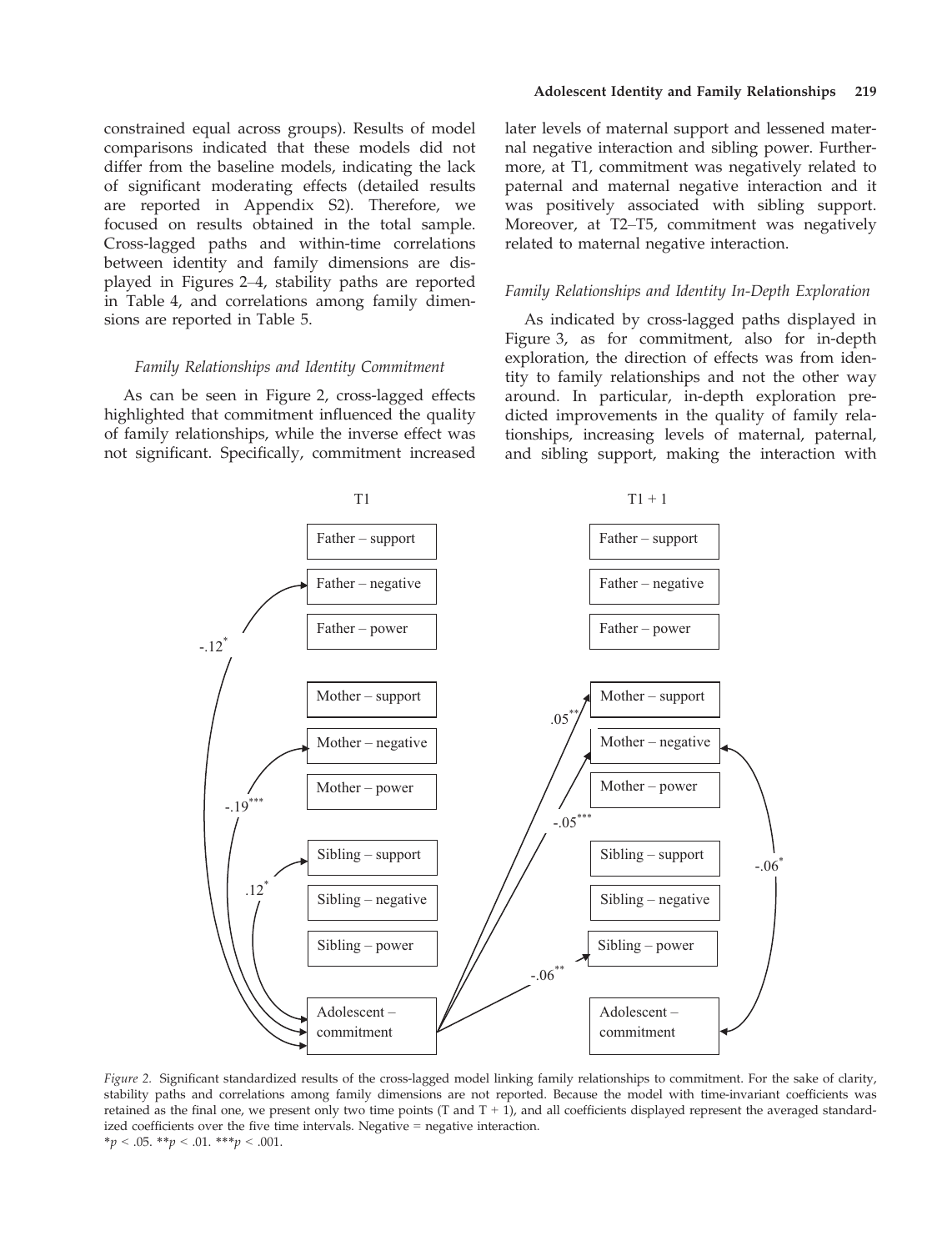constrained equal across groups). Results of model comparisons indicated that these models did not differ from the baseline models, indicating the lack of significant moderating effects (detailed results are reported in Appendix S2). Therefore, we focused on results obtained in the total sample. Cross-lagged paths and within-time correlations between identity and family dimensions are displayed in Figures 2–4, stability paths are reported in Table 4, and correlations among family dimensions are reported in Table 5.

#### Family Relationships and Identity Commitment

As can be seen in Figure 2, cross-lagged effects highlighted that commitment influenced the quality of family relationships, while the inverse effect was not significant. Specifically, commitment increased

later levels of maternal support and lessened maternal negative interaction and sibling power. Furthermore, at T1, commitment was negatively related to paternal and maternal negative interaction and it was positively associated with sibling support. Moreover, at T2–T5, commitment was negatively related to maternal negative interaction.

### Family Relationships and Identity In-Depth Exploration

As indicated by cross-lagged paths displayed in Figure 3, as for commitment, also for in-depth exploration, the direction of effects was from identity to family relationships and not the other way around. In particular, in-depth exploration predicted improvements in the quality of family relationships, increasing levels of maternal, paternal, and sibling support, making the interaction with



Figure 2. Significant standardized results of the cross-lagged model linking family relationships to commitment. For the sake of clarity, stability paths and correlations among family dimensions are not reported. Because the model with time-invariant coefficients was retained as the final one, we present only two time points  $(T \text{ and } T + 1)$ , and all coefficients displayed represent the averaged standardized coefficients over the five time intervals. Negative = negative interaction.  $*_p$  < .05.  $*_p$  < .01.  $**_p$  < .001.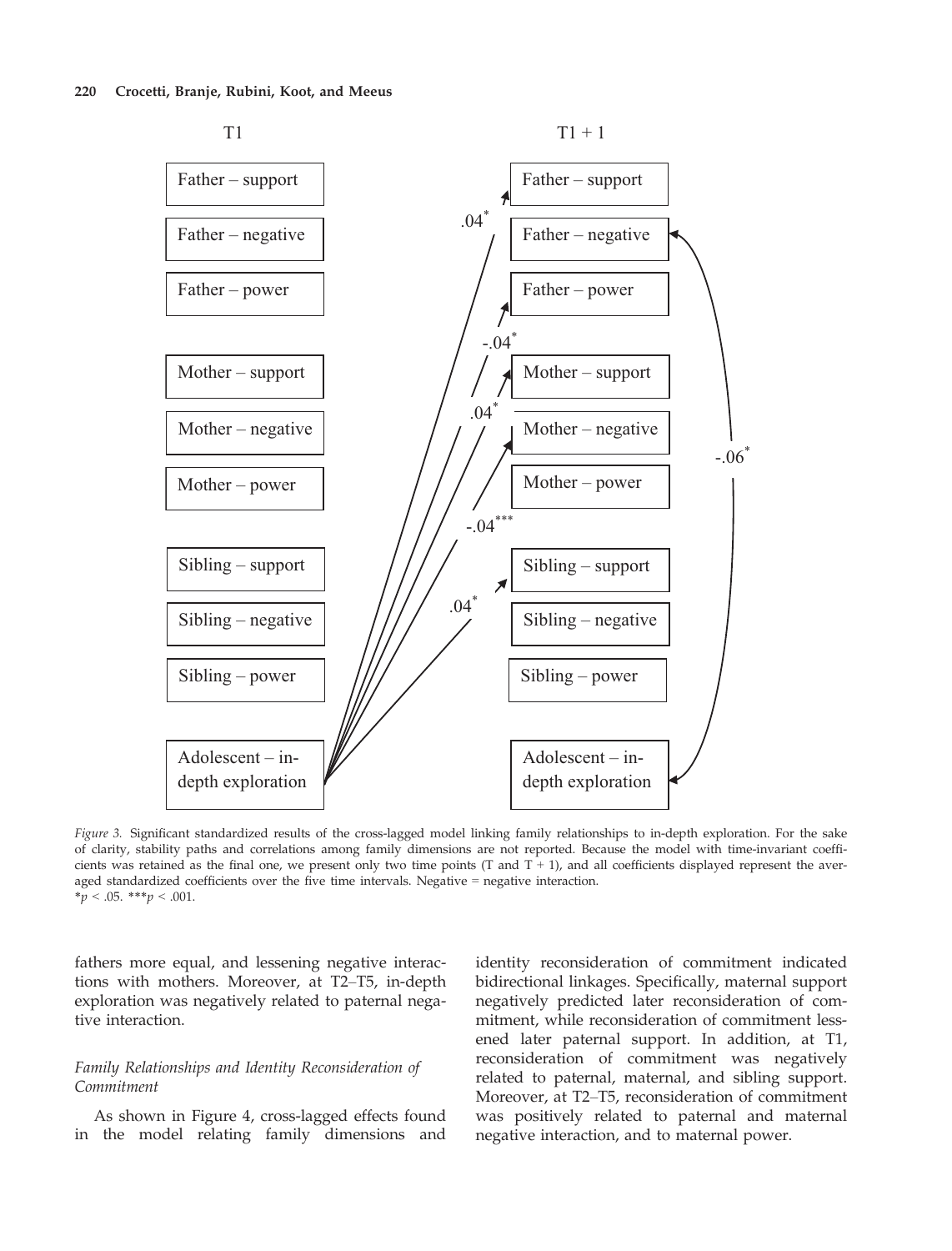

Figure 3. Significant standardized results of the cross-lagged model linking family relationships to in-depth exploration. For the sake of clarity, stability paths and correlations among family dimensions are not reported. Because the model with time-invariant coefficients was retained as the final one, we present only two time points (T and  $T + 1$ ), and all coefficients displayed represent the averaged standardized coefficients over the five time intervals. Negative = negative interaction.  $*_{p}$  < .05. \*\*\*p < .001.

fathers more equal, and lessening negative interactions with mothers. Moreover, at T2–T5, in-depth exploration was negatively related to paternal negative interaction.

# Family Relationships and Identity Reconsideration of Commitment

As shown in Figure 4, cross-lagged effects found in the model relating family dimensions and identity reconsideration of commitment indicated bidirectional linkages. Specifically, maternal support negatively predicted later reconsideration of commitment, while reconsideration of commitment lessened later paternal support. In addition, at T1, reconsideration of commitment was negatively related to paternal, maternal, and sibling support. Moreover, at T2–T5, reconsideration of commitment was positively related to paternal and maternal negative interaction, and to maternal power.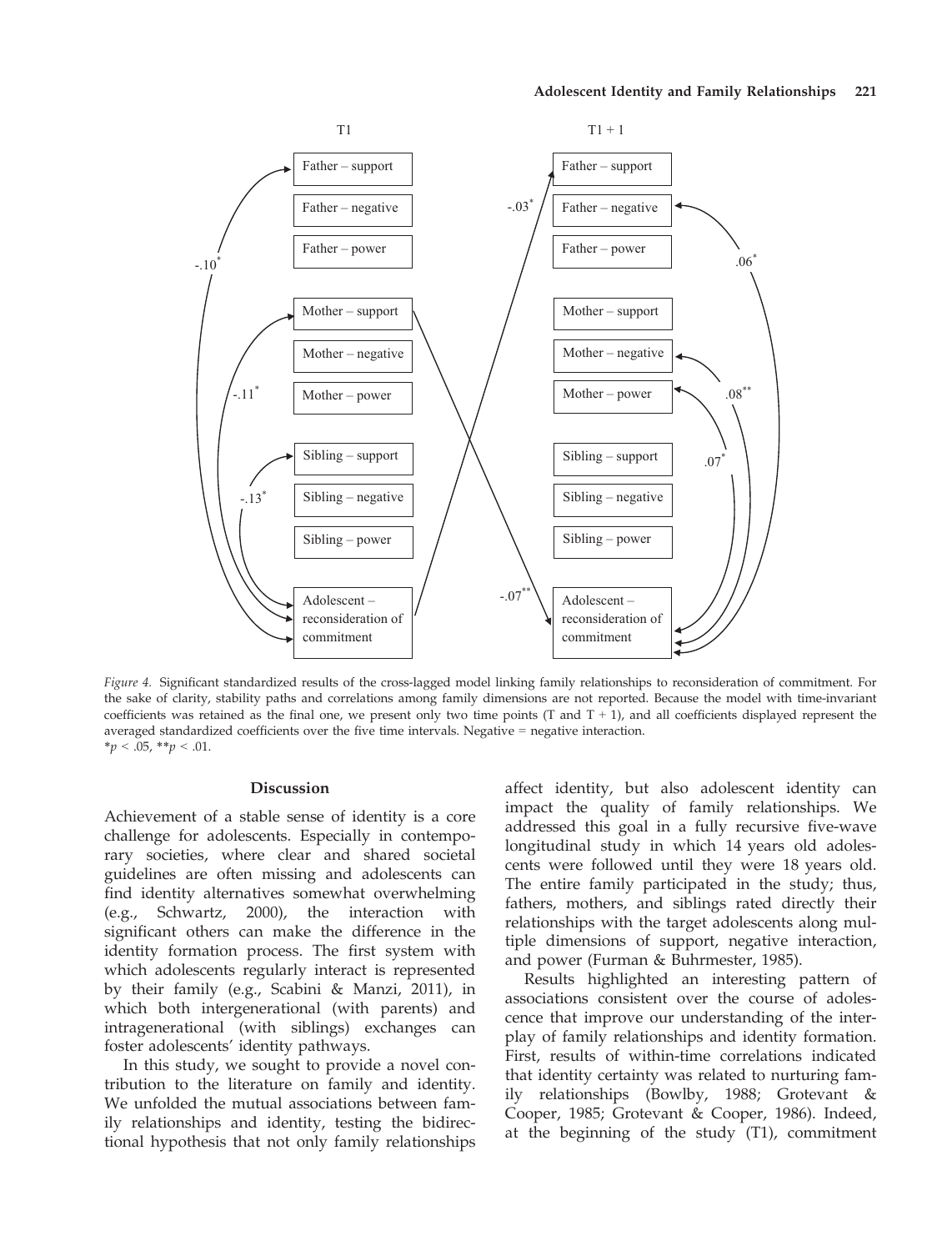

Figure 4. Significant standardized results of the cross-lagged model linking family relationships to reconsideration of commitment. For the sake of clarity, stability paths and correlations among family dimensions are not reported. Because the model with time-invariant coefficients was retained as the final one, we present only two time points  $(T \text{ and } T + 1)$ , and all coefficients displayed represent the averaged standardized coefficients over the five time intervals. Negative = negative interaction.  $**p* < .05, ***p* < .01.$ 

#### Discussion

Achievement of a stable sense of identity is a core challenge for adolescents. Especially in contemporary societies, where clear and shared societal guidelines are often missing and adolescents can find identity alternatives somewhat overwhelming (e.g., Schwartz, 2000), the interaction with significant others can make the difference in the identity formation process. The first system with which adolescents regularly interact is represented by their family (e.g., Scabini & Manzi, 2011), in which both intergenerational (with parents) and intragenerational (with siblings) exchanges can foster adolescents' identity pathways.

In this study, we sought to provide a novel contribution to the literature on family and identity. We unfolded the mutual associations between family relationships and identity, testing the bidirectional hypothesis that not only family relationships affect identity, but also adolescent identity can impact the quality of family relationships. We addressed this goal in a fully recursive five-wave longitudinal study in which 14 years old adolescents were followed until they were 18 years old. The entire family participated in the study; thus, fathers, mothers, and siblings rated directly their relationships with the target adolescents along multiple dimensions of support, negative interaction, and power (Furman & Buhrmester, 1985).

Results highlighted an interesting pattern of associations consistent over the course of adolescence that improve our understanding of the interplay of family relationships and identity formation. First, results of within-time correlations indicated that identity certainty was related to nurturing family relationships (Bowlby, 1988; Grotevant & Cooper, 1985; Grotevant & Cooper, 1986). Indeed, at the beginning of the study (T1), commitment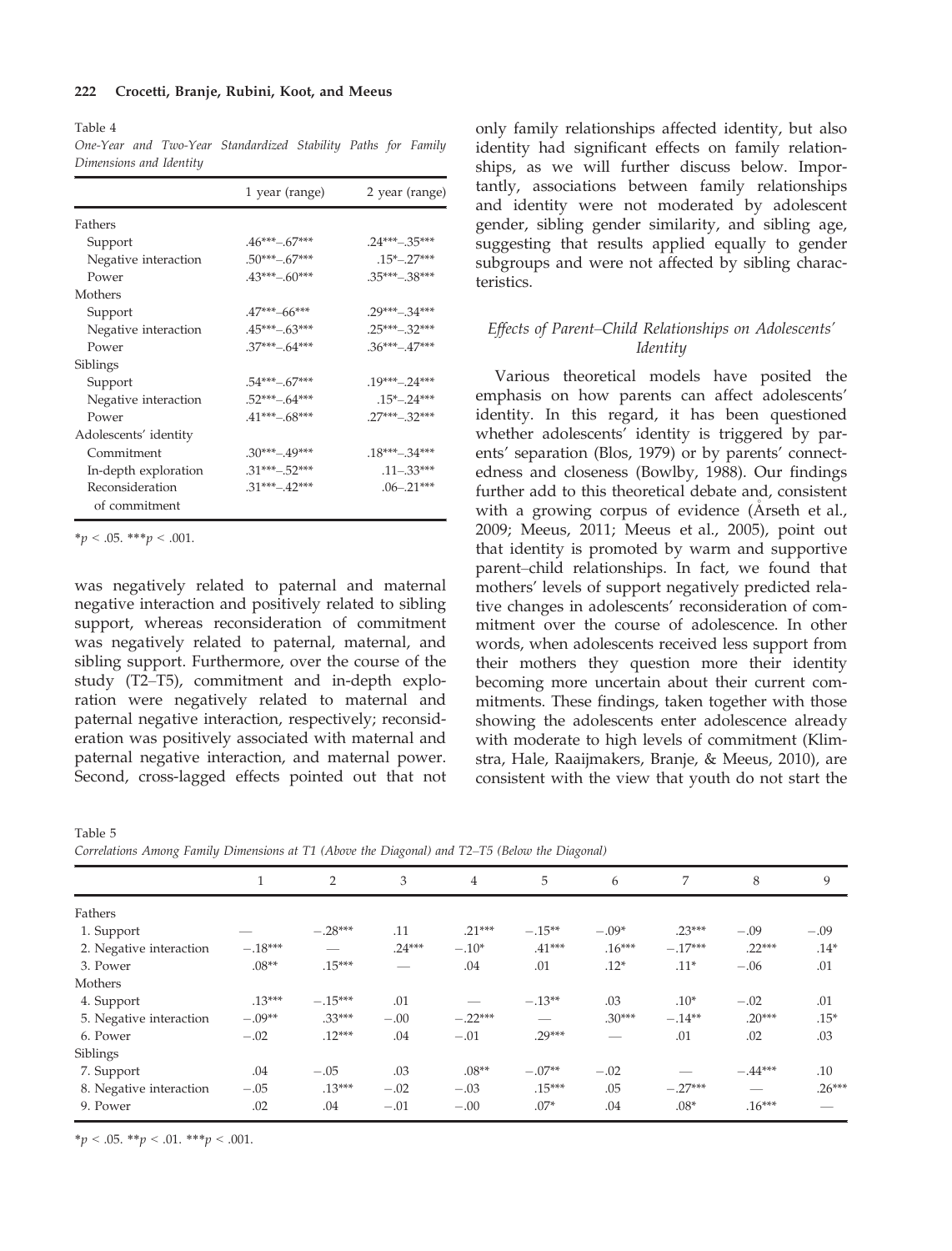Table 4

One-Year and Two-Year Standardized Stability Paths for Family Dimensions and Identity

|                       | 1 year (range)  | 2 year (range)  |
|-----------------------|-----------------|-----------------|
| Fathers               |                 |                 |
| Support               | $.46***-.67***$ | $.24***-.35***$ |
| Negative interaction  | $.50***-.67***$ | $.15*-27***$    |
| Power                 | $.43***-.60***$ | $.35***-.38***$ |
| Mothers               |                 |                 |
| Support               | $.47***-66***$  | $.29***-.34***$ |
| Negative interaction  | $.45***-.63***$ | $.25***-.32***$ |
| Power                 | $.37***-.64***$ | $.36***-.47***$ |
| Siblings              |                 |                 |
| Support               | $.54***-.67***$ | $.19***-.24***$ |
| Negative interaction  | $.52***-.64***$ | $.15*-.24***$   |
| Power                 | $.41***-.68***$ | $.27***-.32***$ |
| Adolescents' identity |                 |                 |
| Commitment            | $.30***-.49***$ | $.18***-.34***$ |
| In-depth exploration  | $.31***-.52***$ | $.11 - .33***$  |
| Reconsideration       | $.31***-.42***$ | $.06 - .21***$  |
| of commitment         |                 |                 |

 $**p* < .05.$  \*\*\* $$ 

was negatively related to paternal and maternal negative interaction and positively related to sibling support, whereas reconsideration of commitment was negatively related to paternal, maternal, and sibling support. Furthermore, over the course of the study (T2–T5), commitment and in-depth exploration were negatively related to maternal and paternal negative interaction, respectively; reconsideration was positively associated with maternal and paternal negative interaction, and maternal power. Second, cross-lagged effects pointed out that not

Table 5

|  |  |  |  | Correlations Among Family Dimensions at T1 (Above the Diagonal) and T2–T5 (Below the Diagonal) |  |  |  |  |  |  |  |  |  |  |  |
|--|--|--|--|------------------------------------------------------------------------------------------------|--|--|--|--|--|--|--|--|--|--|--|
|--|--|--|--|------------------------------------------------------------------------------------------------|--|--|--|--|--|--|--|--|--|--|--|

|                         |           | $\overline{2}$ | 3        | $\overline{4}$ | 5        | 6        | 7         | 8         | 9        |
|-------------------------|-----------|----------------|----------|----------------|----------|----------|-----------|-----------|----------|
| Fathers                 |           |                |          |                |          |          |           |           |          |
| 1. Support              |           | $-.28***$      | .11      | $.21***$       | $-.15**$ | $-.09*$  | $.23***$  | $-.09$    | $-.09$   |
| 2. Negative interaction | $-.18***$ |                | $.24***$ | $-.10*$        | $.41***$ | $.16***$ | $-.17***$ | $.22***$  | $.14*$   |
| 3. Power                | $.08**$   | $.15***$       |          | .04            | .01      | $.12*$   | $.11*$    | $-.06$    | .01      |
| Mothers                 |           |                |          |                |          |          |           |           |          |
| 4. Support              | $.13***$  | $-.15***$      | .01      |                | $-.13**$ | .03      | $.10*$    | $-.02$    | .01      |
| 5. Negative interaction | $-.09**$  | $.33***$       | $-.00$   | $-.22***$      |          | $.30***$ | $-.14**$  | $.20***$  | $.15*$   |
| 6. Power                | $-.02$    | $.12***$       | .04      | $-.01$         | $.29***$ |          | .01       | .02       | .03      |
| Siblings                |           |                |          |                |          |          |           |           |          |
| 7. Support              | .04       | $-.05$         | .03      | $.08**$        | $-.07**$ | $-.02$   |           | $-.44***$ | .10      |
| 8. Negative interaction | $-.05$    | $.13***$       | $-.02$   | $-.03$         | $.15***$ | .05      | $-.27***$ | -         | $.26***$ |
| 9. Power                | .02       | .04            | $-.01$   | $-.00$         | $.07*$   | .04      | $.08*$    | $.16***$  |          |

 $**p* < .05. ***p* < .01. ****p* < .001.$ 

only family relationships affected identity, but also identity had significant effects on family relationships, as we will further discuss below. Importantly, associations between family relationships and identity were not moderated by adolescent gender, sibling gender similarity, and sibling age, suggesting that results applied equally to gender subgroups and were not affected by sibling characteristics.

# Effects of Parent–Child Relationships on Adolescents' Identity

Various theoretical models have posited the emphasis on how parents can affect adolescents' identity. In this regard, it has been questioned whether adolescents' identity is triggered by parents' separation (Blos, 1979) or by parents' connectedness and closeness (Bowlby, 1988). Our findings further add to this theoretical debate and, consistent with a growing corpus of evidence (Arseth et al., 2009; Meeus, 2011; Meeus et al., 2005), point out that identity is promoted by warm and supportive parent–child relationships. In fact, we found that mothers' levels of support negatively predicted relative changes in adolescents' reconsideration of commitment over the course of adolescence. In other words, when adolescents received less support from their mothers they question more their identity becoming more uncertain about their current commitments. These findings, taken together with those showing the adolescents enter adolescence already with moderate to high levels of commitment (Klimstra, Hale, Raaijmakers, Branje, & Meeus, 2010), are consistent with the view that youth do not start the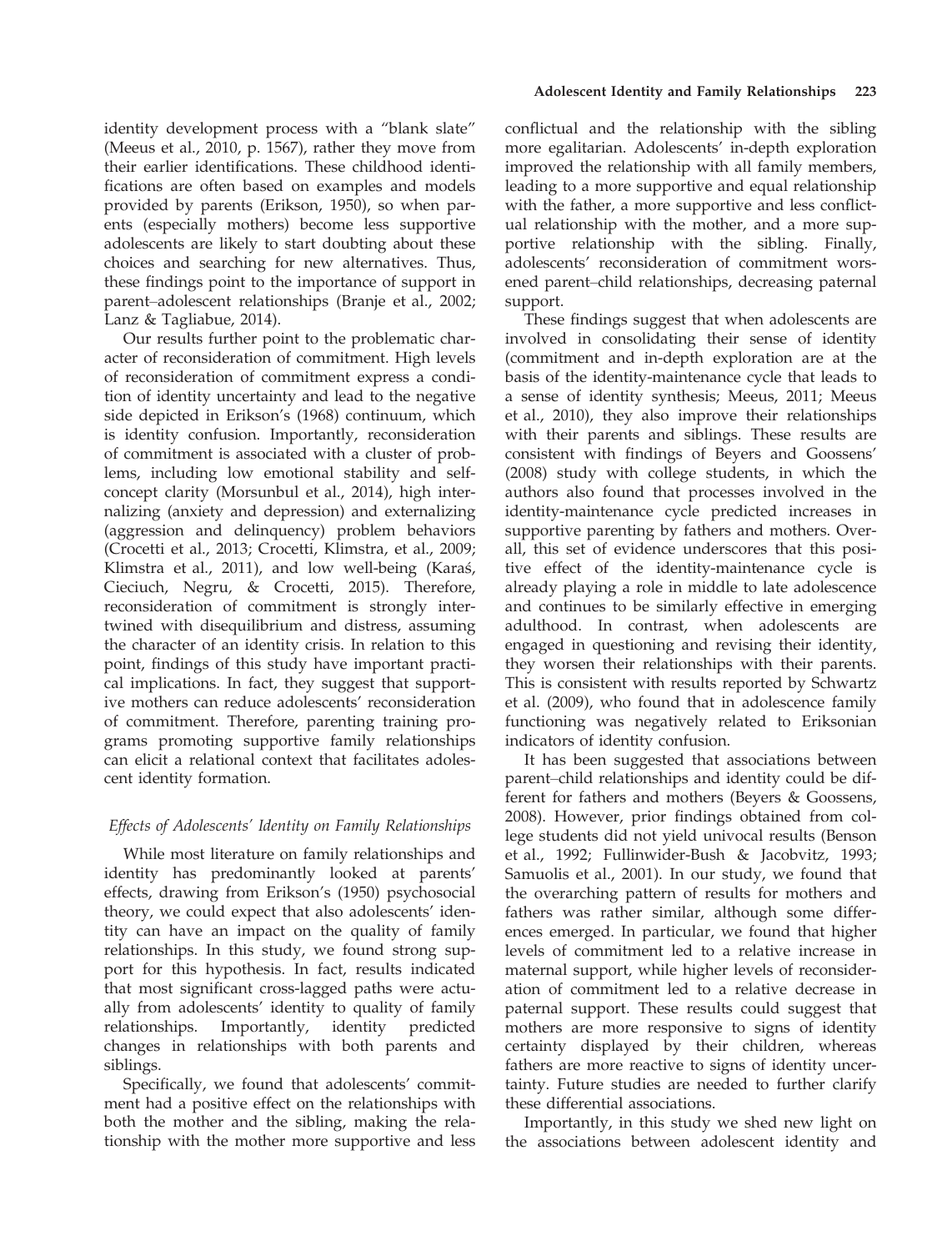identity development process with a "blank slate" (Meeus et al., 2010, p. 1567), rather they move from their earlier identifications. These childhood identifications are often based on examples and models provided by parents (Erikson, 1950), so when parents (especially mothers) become less supportive adolescents are likely to start doubting about these choices and searching for new alternatives. Thus, these findings point to the importance of support in parent–adolescent relationships (Branje et al., 2002; Lanz & Tagliabue, 2014).

Our results further point to the problematic character of reconsideration of commitment. High levels of reconsideration of commitment express a condition of identity uncertainty and lead to the negative side depicted in Erikson's (1968) continuum, which is identity confusion. Importantly, reconsideration of commitment is associated with a cluster of problems, including low emotional stability and selfconcept clarity (Morsunbul et al., 2014), high internalizing (anxiety and depression) and externalizing (aggression and delinquency) problem behaviors (Crocetti et al., 2013; Crocetti, Klimstra, et al., 2009; Klimstra et al., 2011), and low well-being (Karaś, Cieciuch, Negru, & Crocetti, 2015). Therefore, reconsideration of commitment is strongly intertwined with disequilibrium and distress, assuming the character of an identity crisis. In relation to this point, findings of this study have important practical implications. In fact, they suggest that supportive mothers can reduce adolescents' reconsideration of commitment. Therefore, parenting training programs promoting supportive family relationships can elicit a relational context that facilitates adolescent identity formation.

# Effects of Adolescents' Identity on Family Relationships

While most literature on family relationships and identity has predominantly looked at parents' effects, drawing from Erikson's (1950) psychosocial theory, we could expect that also adolescents' identity can have an impact on the quality of family relationships. In this study, we found strong support for this hypothesis. In fact, results indicated that most significant cross-lagged paths were actually from adolescents' identity to quality of family relationships. Importantly, identity predicted changes in relationships with both parents and siblings.

Specifically, we found that adolescents' commitment had a positive effect on the relationships with both the mother and the sibling, making the relationship with the mother more supportive and less conflictual and the relationship with the sibling more egalitarian. Adolescents' in-depth exploration improved the relationship with all family members, leading to a more supportive and equal relationship with the father, a more supportive and less conflictual relationship with the mother, and a more supportive relationship with the sibling. Finally, adolescents' reconsideration of commitment worsened parent–child relationships, decreasing paternal support.

These findings suggest that when adolescents are involved in consolidating their sense of identity (commitment and in-depth exploration are at the basis of the identity-maintenance cycle that leads to a sense of identity synthesis; Meeus, 2011; Meeus et al., 2010), they also improve their relationships with their parents and siblings. These results are consistent with findings of Beyers and Goossens' (2008) study with college students, in which the authors also found that processes involved in the identity-maintenance cycle predicted increases in supportive parenting by fathers and mothers. Overall, this set of evidence underscores that this positive effect of the identity-maintenance cycle is already playing a role in middle to late adolescence and continues to be similarly effective in emerging adulthood. In contrast, when adolescents are engaged in questioning and revising their identity, they worsen their relationships with their parents. This is consistent with results reported by Schwartz et al. (2009), who found that in adolescence family functioning was negatively related to Eriksonian indicators of identity confusion.

It has been suggested that associations between parent–child relationships and identity could be different for fathers and mothers (Beyers & Goossens, 2008). However, prior findings obtained from college students did not yield univocal results (Benson et al., 1992; Fullinwider-Bush & Jacobvitz, 1993; Samuolis et al., 2001). In our study, we found that the overarching pattern of results for mothers and fathers was rather similar, although some differences emerged. In particular, we found that higher levels of commitment led to a relative increase in maternal support, while higher levels of reconsideration of commitment led to a relative decrease in paternal support. These results could suggest that mothers are more responsive to signs of identity certainty displayed by their children, whereas fathers are more reactive to signs of identity uncertainty. Future studies are needed to further clarify these differential associations.

Importantly, in this study we shed new light on the associations between adolescent identity and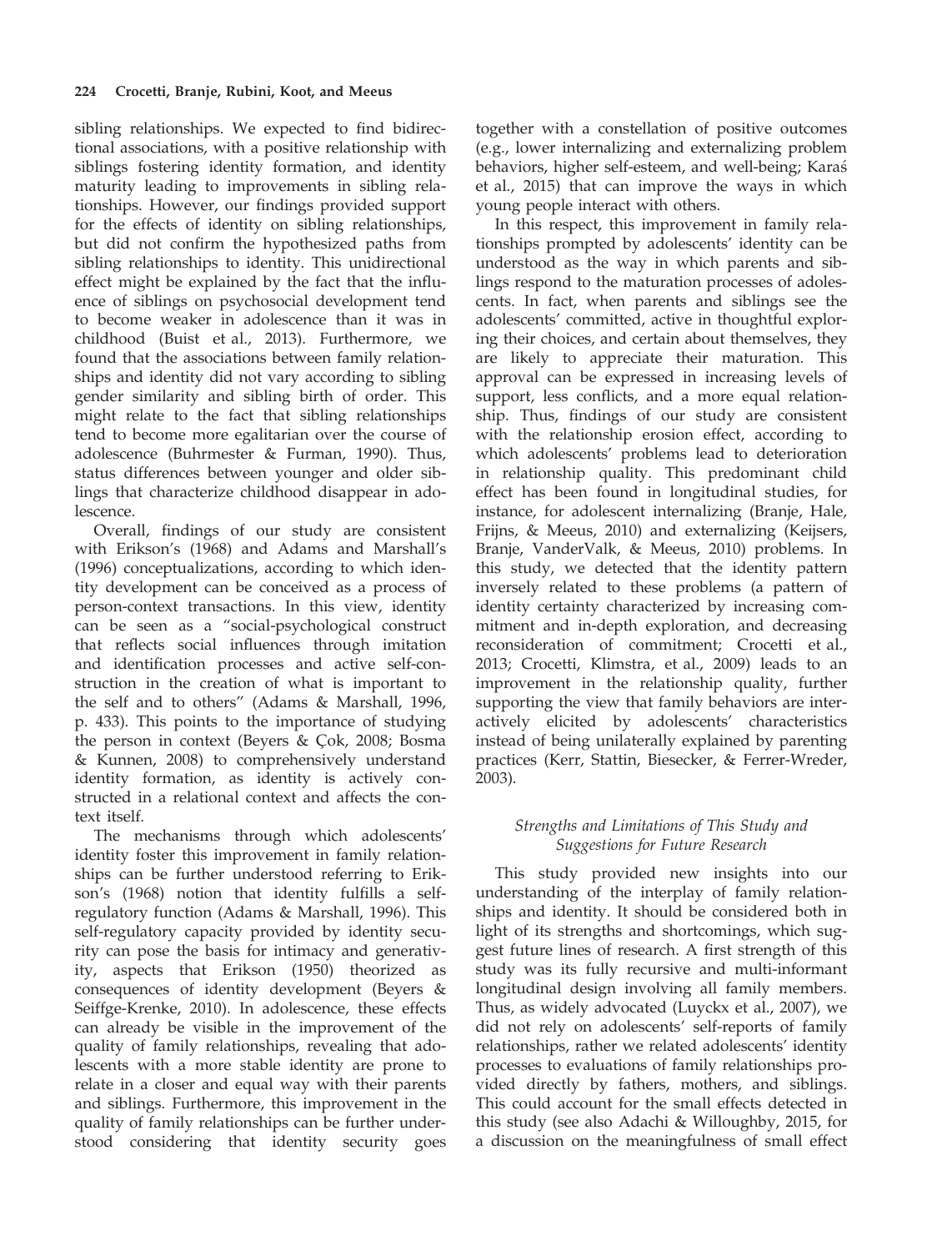sibling relationships. We expected to find bidirectional associations, with a positive relationship with siblings fostering identity formation, and identity maturity leading to improvements in sibling relationships. However, our findings provided support for the effects of identity on sibling relationships, but did not confirm the hypothesized paths from sibling relationships to identity. This unidirectional effect might be explained by the fact that the influence of siblings on psychosocial development tend to become weaker in adolescence than it was in childhood (Buist et al., 2013). Furthermore, we found that the associations between family relationships and identity did not vary according to sibling gender similarity and sibling birth of order. This might relate to the fact that sibling relationships tend to become more egalitarian over the course of adolescence (Buhrmester & Furman, 1990). Thus, status differences between younger and older siblings that characterize childhood disappear in adolescence.

Overall, findings of our study are consistent with Erikson's (1968) and Adams and Marshall's (1996) conceptualizations, according to which identity development can be conceived as a process of person-context transactions. In this view, identity can be seen as a "social-psychological construct that reflects social influences through imitation and identification processes and active self-construction in the creation of what is important to the self and to others" (Adams & Marshall, 1996, p. 433). This points to the importance of studying the person in context (Beyers & Cok, 2008; Bosma & Kunnen, 2008) to comprehensively understand identity formation, as identity is actively constructed in a relational context and affects the context itself.

The mechanisms through which adolescents' identity foster this improvement in family relationships can be further understood referring to Erikson's (1968) notion that identity fulfills a selfregulatory function (Adams & Marshall, 1996). This self-regulatory capacity provided by identity security can pose the basis for intimacy and generativity, aspects that Erikson (1950) theorized as consequences of identity development (Beyers & Seiffge-Krenke, 2010). In adolescence, these effects can already be visible in the improvement of the quality of family relationships, revealing that adolescents with a more stable identity are prone to relate in a closer and equal way with their parents and siblings. Furthermore, this improvement in the quality of family relationships can be further understood considering that identity security goes

together with a constellation of positive outcomes (e.g., lower internalizing and externalizing problem behaviors, higher self-esteem, and well-being; Karas et al., 2015) that can improve the ways in which young people interact with others.

In this respect, this improvement in family relationships prompted by adolescents' identity can be understood as the way in which parents and siblings respond to the maturation processes of adolescents. In fact, when parents and siblings see the adolescents' committed, active in thoughtful exploring their choices, and certain about themselves, they are likely to appreciate their maturation. This approval can be expressed in increasing levels of support, less conflicts, and a more equal relationship. Thus, findings of our study are consistent with the relationship erosion effect, according to which adolescents' problems lead to deterioration in relationship quality. This predominant child effect has been found in longitudinal studies, for instance, for adolescent internalizing (Branje, Hale, Frijns, & Meeus, 2010) and externalizing (Keijsers, Branje, VanderValk, & Meeus, 2010) problems. In this study, we detected that the identity pattern inversely related to these problems (a pattern of identity certainty characterized by increasing commitment and in-depth exploration, and decreasing reconsideration of commitment; Crocetti et al., 2013; Crocetti, Klimstra, et al., 2009) leads to an improvement in the relationship quality, further supporting the view that family behaviors are interactively elicited by adolescents' characteristics instead of being unilaterally explained by parenting practices (Kerr, Stattin, Biesecker, & Ferrer-Wreder, 2003).

# Strengths and Limitations of This Study and Suggestions for Future Research

This study provided new insights into our understanding of the interplay of family relationships and identity. It should be considered both in light of its strengths and shortcomings, which suggest future lines of research. A first strength of this study was its fully recursive and multi-informant longitudinal design involving all family members. Thus, as widely advocated (Luyckx et al., 2007), we did not rely on adolescents' self-reports of family relationships, rather we related adolescents' identity processes to evaluations of family relationships provided directly by fathers, mothers, and siblings. This could account for the small effects detected in this study (see also Adachi & Willoughby, 2015, for a discussion on the meaningfulness of small effect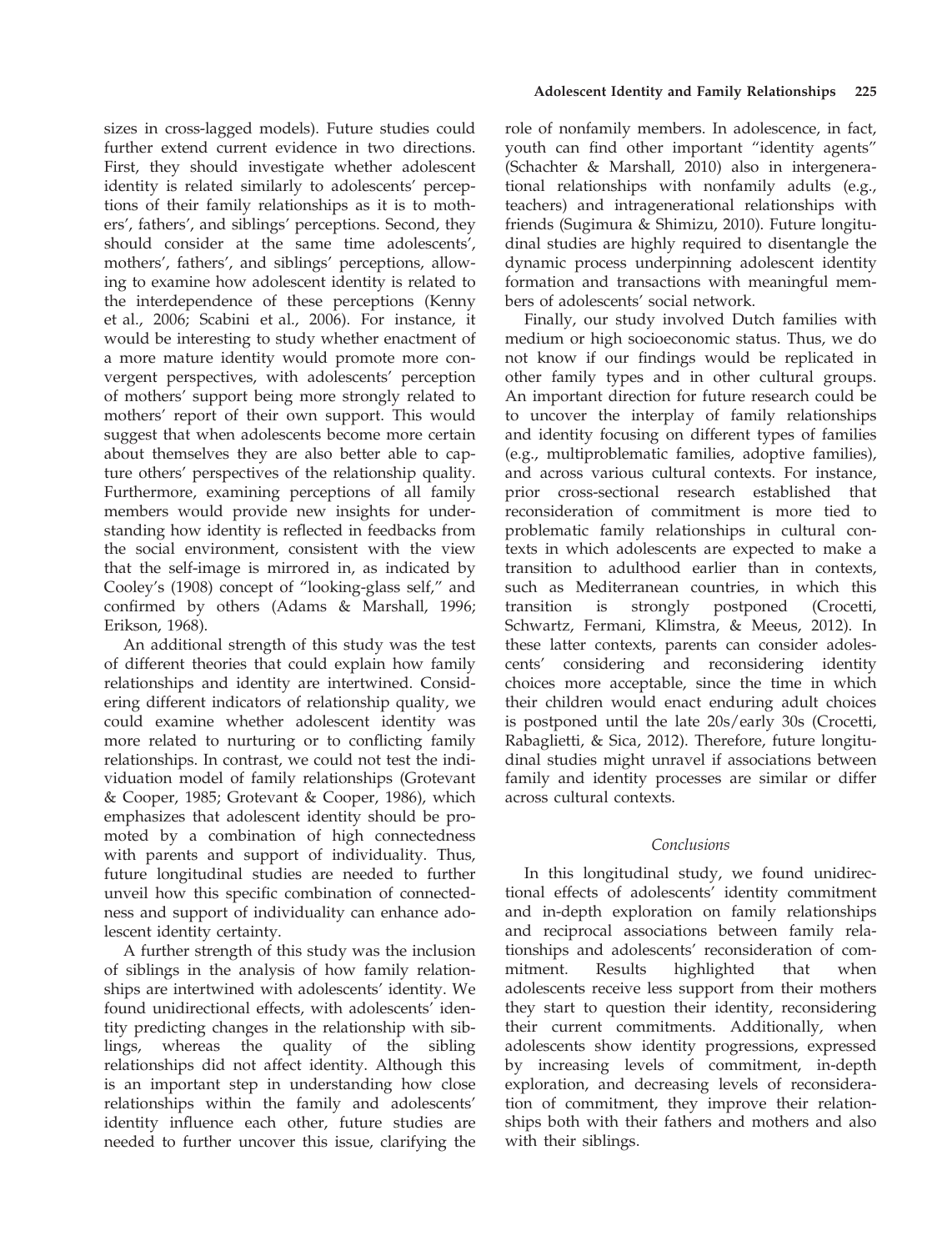sizes in cross-lagged models). Future studies could further extend current evidence in two directions. First, they should investigate whether adolescent identity is related similarly to adolescents' perceptions of their family relationships as it is to mothers', fathers', and siblings' perceptions. Second, they should consider at the same time adolescents', mothers', fathers', and siblings' perceptions, allowing to examine how adolescent identity is related to the interdependence of these perceptions (Kenny et al., 2006; Scabini et al., 2006). For instance, it would be interesting to study whether enactment of a more mature identity would promote more convergent perspectives, with adolescents' perception of mothers' support being more strongly related to mothers' report of their own support. This would suggest that when adolescents become more certain about themselves they are also better able to capture others' perspectives of the relationship quality. Furthermore, examining perceptions of all family members would provide new insights for understanding how identity is reflected in feedbacks from the social environment, consistent with the view that the self-image is mirrored in, as indicated by Cooley's (1908) concept of "looking-glass self," and confirmed by others (Adams & Marshall, 1996; Erikson, 1968).

An additional strength of this study was the test of different theories that could explain how family relationships and identity are intertwined. Considering different indicators of relationship quality, we could examine whether adolescent identity was more related to nurturing or to conflicting family relationships. In contrast, we could not test the individuation model of family relationships (Grotevant & Cooper, 1985; Grotevant & Cooper, 1986), which emphasizes that adolescent identity should be promoted by a combination of high connectedness with parents and support of individuality. Thus, future longitudinal studies are needed to further unveil how this specific combination of connectedness and support of individuality can enhance adolescent identity certainty.

A further strength of this study was the inclusion of siblings in the analysis of how family relationships are intertwined with adolescents' identity. We found unidirectional effects, with adolescents' identity predicting changes in the relationship with siblings, whereas the quality of the sibling relationships did not affect identity. Although this is an important step in understanding how close relationships within the family and adolescents' identity influence each other, future studies are needed to further uncover this issue, clarifying the

role of nonfamily members. In adolescence, in fact, youth can find other important "identity agents" (Schachter & Marshall, 2010) also in intergenerational relationships with nonfamily adults (e.g., teachers) and intragenerational relationships with friends (Sugimura & Shimizu, 2010). Future longitudinal studies are highly required to disentangle the dynamic process underpinning adolescent identity formation and transactions with meaningful members of adolescents' social network.

Finally, our study involved Dutch families with medium or high socioeconomic status. Thus, we do not know if our findings would be replicated in other family types and in other cultural groups. An important direction for future research could be to uncover the interplay of family relationships and identity focusing on different types of families (e.g., multiproblematic families, adoptive families), and across various cultural contexts. For instance, prior cross-sectional research established that reconsideration of commitment is more tied to problematic family relationships in cultural contexts in which adolescents are expected to make a transition to adulthood earlier than in contexts, such as Mediterranean countries, in which this transition is strongly postponed (Crocetti, Schwartz, Fermani, Klimstra, & Meeus, 2012). In these latter contexts, parents can consider adolescents' considering and reconsidering identity choices more acceptable, since the time in which their children would enact enduring adult choices is postponed until the late 20s/early 30s (Crocetti, Rabaglietti, & Sica, 2012). Therefore, future longitudinal studies might unravel if associations between family and identity processes are similar or differ across cultural contexts.

### Conclusions

In this longitudinal study, we found unidirectional effects of adolescents' identity commitment and in-depth exploration on family relationships and reciprocal associations between family relationships and adolescents' reconsideration of commitment. Results highlighted that when adolescents receive less support from their mothers they start to question their identity, reconsidering their current commitments. Additionally, when adolescents show identity progressions, expressed by increasing levels of commitment, in-depth exploration, and decreasing levels of reconsideration of commitment, they improve their relationships both with their fathers and mothers and also with their siblings.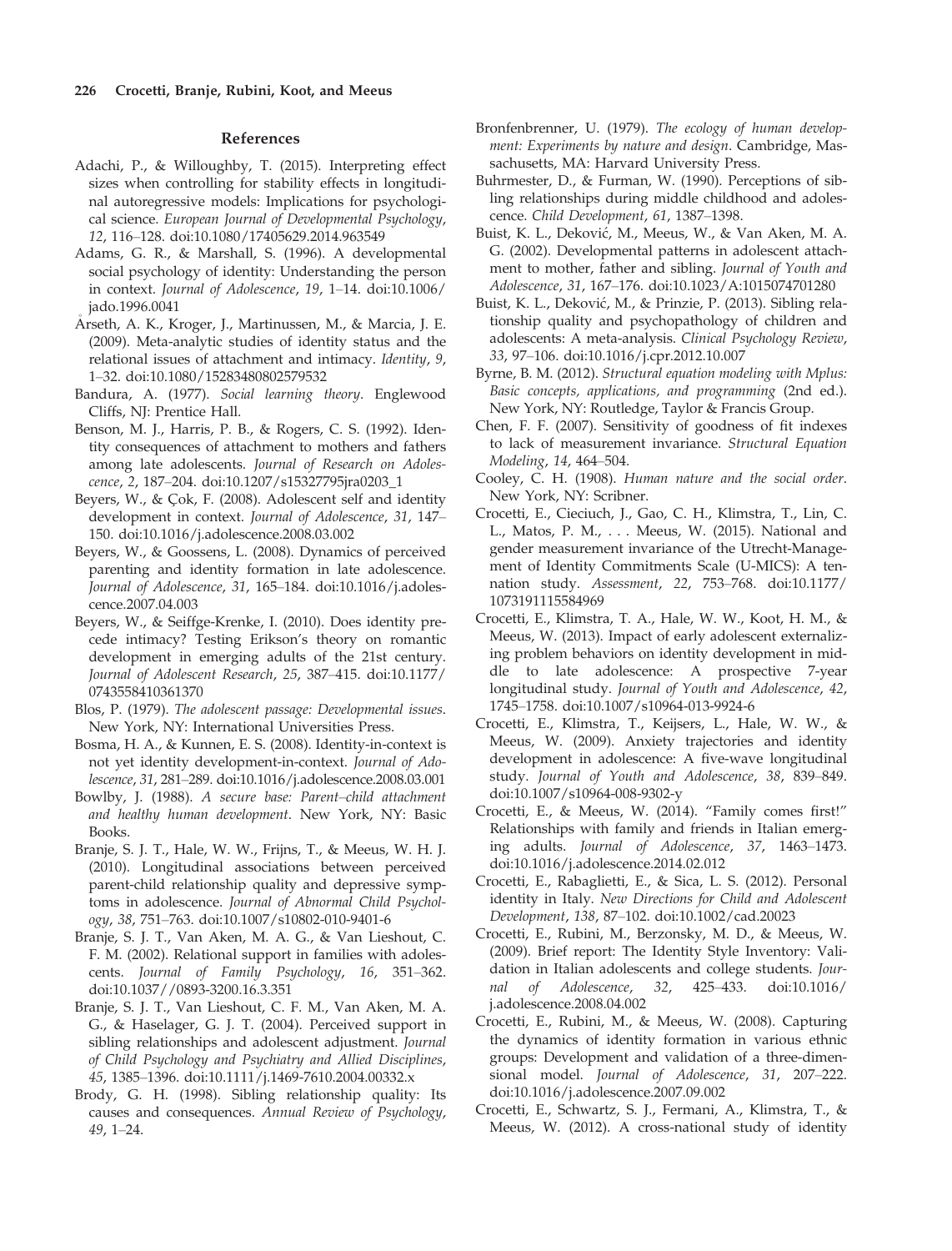#### References

- Adachi, P., & Willoughby, T. (2015). Interpreting effect sizes when controlling for stability effects in longitudinal autoregressive models: Implications for psychological science. European Journal of Developmental Psychology, 12, 116–128. doi[:10.1080/17405629.2014.963549](http://dx.doi.org/10.1080/17405629.2014.963549)
- Adams, G. R., & Marshall, S. (1996). A developmental social psychology of identity: Understanding the person in context. Journal of Adolescence, 19, 1–14. doi:[10.1006/](http://dx.doi.org/10.1006/jado.1996.0041) [jado.1996.0041](http://dx.doi.org/10.1006/jado.1996.0041)
- Arseth, A. K., Kroger, J., Martinussen, M., & Marcia, J. E. (2009). Meta-analytic studies of identity status and the relational issues of attachment and intimacy. Identity, 9, 1–32. doi:[10.1080/15283480802579532](http://dx.doi.org/10.1080/15283480802579532)
- Bandura, A. (1977). Social learning theory. Englewood Cliffs, NJ: Prentice Hall.
- Benson, M. J., Harris, P. B., & Rogers, C. S. (1992). Identity consequences of attachment to mothers and fathers among late adolescents. Journal of Research on Adolescence, 2, 187–204. doi[:10.1207/s15327795jra0203\\_1](http://dx.doi.org/10.1207/s15327795jra0203_1)
- Beyers, W., & Cok, F. (2008). Adolescent self and identity development in context. Journal of Adolescence, 31, 147– 150. doi[:10.1016/j.adolescence.2008.03.002](http://dx.doi.org/10.1016/j.adolescence.2008.03.002)
- Beyers, W., & Goossens, L. (2008). Dynamics of perceived parenting and identity formation in late adolescence. Journal of Adolescence, 31, 165–184. doi[:10.1016/j.adoles](http://dx.doi.org/10.1016/j.adolescence.2007.04.003)[cence.2007.04.003](http://dx.doi.org/10.1016/j.adolescence.2007.04.003)
- Beyers, W., & Seiffge-Krenke, I. (2010). Does identity precede intimacy? Testing Erikson's theory on romantic development in emerging adults of the 21st century. Journal of Adolescent Research, 25, 387–415. doi:[10.1177/](http://dx.doi.org/10.1177/0743558410361370) [0743558410361370](http://dx.doi.org/10.1177/0743558410361370)
- Blos, P. (1979). The adolescent passage: Developmental issues. New York, NY: International Universities Press.
- Bosma, H. A., & Kunnen, E. S. (2008). Identity-in-context is not yet identity development-in-context. Journal of Adolescence, 31, 281–289. doi[:10.1016/j.adolescence.2008.03.001](http://dx.doi.org/10.1016/j.adolescence.2008.03.001)
- Bowlby, J. (1988). A secure base: Parent–child attachment and healthy human development. New York, NY: Basic Books.
- Branje, S. J. T., Hale, W. W., Frijns, T., & Meeus, W. H. J. (2010). Longitudinal associations between perceived parent-child relationship quality and depressive symptoms in adolescence. Journal of Abnormal Child Psychology, 38, 751–763. doi:[10.1007/s10802-010-9401-6](http://dx.doi.org/10.1007/s10802-010-9401-6)
- Branje, S. J. T., Van Aken, M. A. G., & Van Lieshout, C. F. M. (2002). Relational support in families with adolescents. Journal of Family Psychology, 16, 351–362. doi:[10.1037//0893-3200.16.3.351](http://dx.doi.org/10.1037//0893-3200.16.3.351)
- Branje, S. J. T., Van Lieshout, C. F. M., Van Aken, M. A. G., & Haselager, G. J. T. (2004). Perceived support in sibling relationships and adolescent adjustment. Journal of Child Psychology and Psychiatry and Allied Disciplines, 45, 1385–1396. doi[:10.1111/j.1469-7610.2004.00332.x](http://dx.doi.org/10.1111/j.1469-7610.2004.00332.x)
- Brody, G. H. (1998). Sibling relationship quality: Its causes and consequences. Annual Review of Psychology, 49, 1–24.
- Bronfenbrenner, U. (1979). The ecology of human development: Experiments by nature and design. Cambridge, Massachusetts, MA: Harvard University Press.
- Buhrmester, D., & Furman, W. (1990). Perceptions of sibling relationships during middle childhood and adolescence. Child Development, 61, 1387–1398.
- Buist, K. L., Deković, M., Meeus, W., & Van Aken, M. A. G. (2002). Developmental patterns in adolescent attachment to mother, father and sibling. Journal of Youth and Adolescence, 31, 167–176. doi:[10.1023/A:1015074701280](http://dx.doi.org/10.1023/A:1015074701280)
- Buist, K. L., Deković, M., & Prinzie, P. (2013). Sibling relationship quality and psychopathology of children and adolescents: A meta-analysis. Clinical Psychology Review, 33, 97–106. doi:[10.1016/j.cpr.2012.10.007](http://dx.doi.org/10.1016/j.cpr.2012.10.007)
- Byrne, B. M. (2012). Structural equation modeling with Mplus: Basic concepts, applications, and programming (2nd ed.). New York, NY: Routledge, Taylor & Francis Group.
- Chen, F. F. (2007). Sensitivity of goodness of fit indexes to lack of measurement invariance. Structural Equation Modeling, 14, 464–504.
- Cooley, C. H. (1908). Human nature and the social order. New York, NY: Scribner.
- Crocetti, E., Cieciuch, J., Gao, C. H., Klimstra, T., Lin, C. L., Matos, P. M., . . . Meeus, W. (2015). National and gender measurement invariance of the Utrecht-Management of Identity Commitments Scale (U-MICS): A tennation study. Assessment, 22, 753–768. doi[:10.1177/](http://dx.doi.org/10.1177/1073191115584969) [1073191115584969](http://dx.doi.org/10.1177/1073191115584969)
- Crocetti, E., Klimstra, T. A., Hale, W. W., Koot, H. M., & Meeus, W. (2013). Impact of early adolescent externalizing problem behaviors on identity development in middle to late adolescence: A prospective 7-year longitudinal study. Journal of Youth and Adolescence, 42, 1745–1758. doi[:10.1007/s10964-013-9924-6](http://dx.doi.org/10.1007/s10964-013-9924-6)
- Crocetti, E., Klimstra, T., Keijsers, L., Hale, W. W., & Meeus, W. (2009). Anxiety trajectories and identity development in adolescence: A five-wave longitudinal study. Journal of Youth and Adolescence, 38, 839–849. doi[:10.1007/s10964-008-9302-y](http://dx.doi.org/10.1007/s10964-008-9302-y)
- Crocetti, E., & Meeus, W. (2014). "Family comes first!" Relationships with family and friends in Italian emerging adults. Journal of Adolescence, 37, 1463–1473. doi[:10.1016/j.adolescence.2014.02.012](http://dx.doi.org/10.1016/j.adolescence.2014.02.012)
- Crocetti, E., Rabaglietti, E., & Sica, L. S. (2012). Personal identity in Italy. New Directions for Child and Adolescent Development, 138, 87–102. doi:[10.1002/cad.20023](http://dx.doi.org/10.1002/cad.20023)
- Crocetti, E., Rubini, M., Berzonsky, M. D., & Meeus, W. (2009). Brief report: The Identity Style Inventory: Validation in Italian adolescents and college students. Journal of Adolescence, 32, 425–433. doi[:10.1016/](http://dx.doi.org/10.1016/j.adolescence.2008.04.002) [j.adolescence.2008.04.002](http://dx.doi.org/10.1016/j.adolescence.2008.04.002)
- Crocetti, E., Rubini, M., & Meeus, W. (2008). Capturing the dynamics of identity formation in various ethnic groups: Development and validation of a three-dimensional model. Journal of Adolescence, 31, 207–222. doi[:10.1016/j.adolescence.2007.09.002](http://dx.doi.org/10.1016/j.adolescence.2007.09.002)
- Crocetti, E., Schwartz, S. J., Fermani, A., Klimstra, T., & Meeus, W. (2012). A cross-national study of identity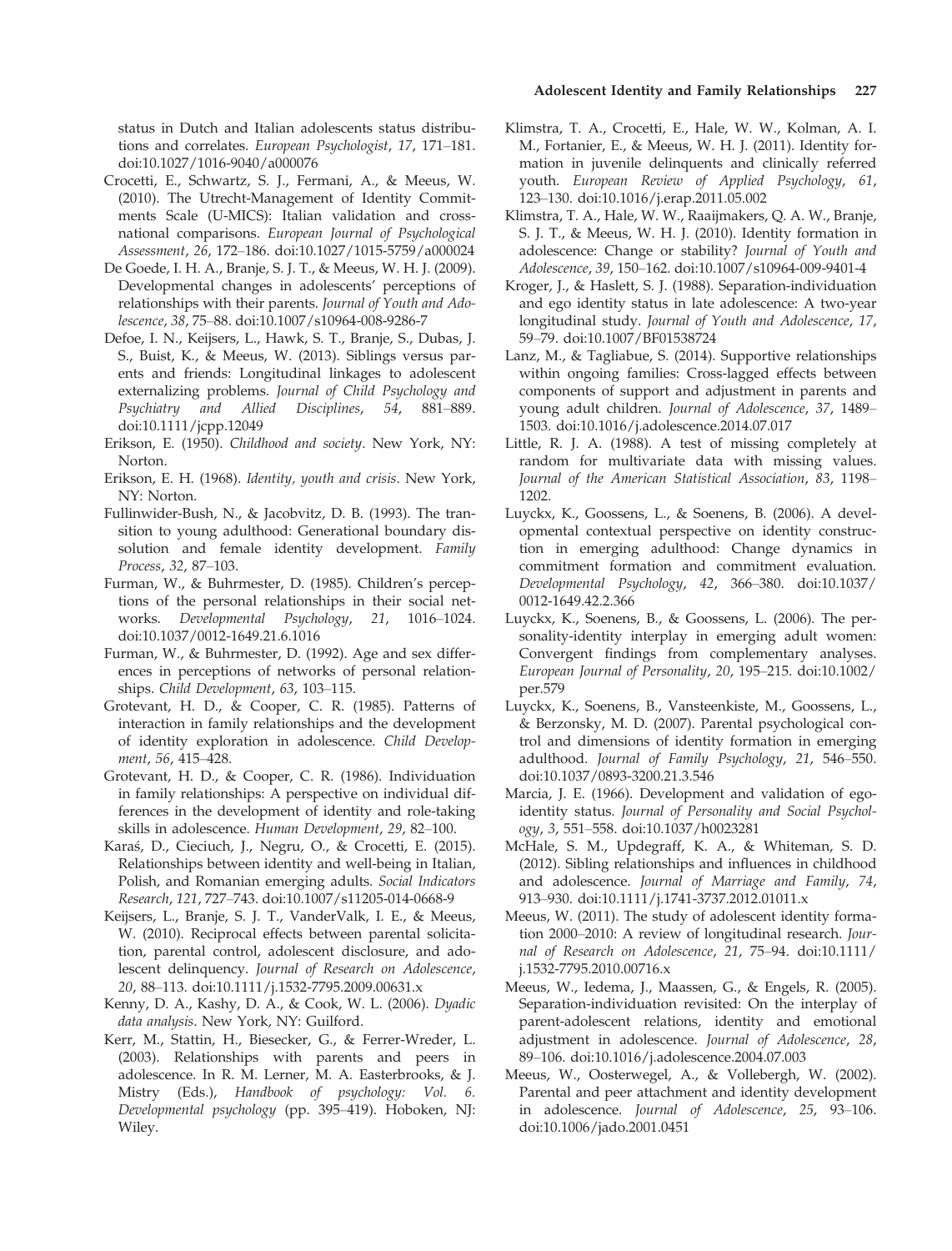status in Dutch and Italian adolescents status distributions and correlates. European Psychologist, 17, 171–181. doi[:10.1027/1016-9040/a000076](http://dx.doi.org/10.1027/1016-9040/a000076)

- Crocetti, E., Schwartz, S. J., Fermani, A., & Meeus, W. (2010). The Utrecht-Management of Identity Commitments Scale (U-MICS): Italian validation and crossnational comparisons. European Journal of Psychological Assessment, 26, 172–186. doi:[10.1027/1015-5759/a000024](http://dx.doi.org/10.1027/1015-5759/a000024)
- De Goede, I. H. A., Branje, S. J. T., & Meeus, W. H. J. (2009). Developmental changes in adolescents' perceptions of relationships with their parents. Journal of Youth and Adolescence, 38, 75–88. doi[:10.1007/s10964-008-9286-7](http://dx.doi.org/10.1007/s10964-008-9286-7)
- Defoe, I. N., Keijsers, L., Hawk, S. T., Branje, S., Dubas, J. S., Buist, K., & Meeus, W. (2013). Siblings versus parents and friends: Longitudinal linkages to adolescent externalizing problems. Journal of Child Psychology and<br>Psychiatry and Allied Disciplines, 54, 881–889. and Allied Disciplines, 54, 881–889. doi[:10.1111/jcpp.12049](http://dx.doi.org/10.1111/jcpp.12049)
- Erikson, E. (1950). Childhood and society. New York, NY: Norton.
- Erikson, E. H. (1968). Identity, youth and crisis. New York, NY: Norton.
- Fullinwider-Bush, N., & Jacobvitz, D. B. (1993). The transition to young adulthood: Generational boundary dissolution and female identity development. Family Process, 32, 87–103.
- Furman, W., & Buhrmester, D. (1985). Children's perceptions of the personal relationships in their social networks. Developmental Psychology, 21, 1016–1024. doi[:10.1037/0012-1649.21.6.1016](http://dx.doi.org/10.1037/0012-1649.21.6.1016)
- Furman, W., & Buhrmester, D. (1992). Age and sex differences in perceptions of networks of personal relationships. Child Development, 63, 103–115.
- Grotevant, H. D., & Cooper, C. R. (1985). Patterns of interaction in family relationships and the development of identity exploration in adolescence. Child Development, 56, 415–428.
- Grotevant, H. D., & Cooper, C. R. (1986). Individuation in family relationships: A perspective on individual differences in the development of identity and role-taking skills in adolescence. Human Development, 29, 82–100.
- Karas, D., Cieciuch, J., Negru, O., & Crocetti, E. (2015). Relationships between identity and well-being in Italian, Polish, and Romanian emerging adults. Social Indicators Research, 121, 727–743. doi[:10.1007/s11205-014-0668-9](http://dx.doi.org/10.1007/s11205-014-0668-9)
- Keijsers, L., Branje, S. J. T., VanderValk, I. E., & Meeus, W. (2010). Reciprocal effects between parental solicitation, parental control, adolescent disclosure, and adolescent delinquency. Journal of Research on Adolescence, 20, 88–113. doi[:10.1111/j.1532-7795.2009.00631.x](http://dx.doi.org/10.1111/j.1532-7795.2009.00631.x)
- Kenny, D. A., Kashy, D. A., & Cook, W. L. (2006). Dyadic data analysis. New York, NY: Guilford.
- Kerr, M., Stattin, H., Biesecker, G., & Ferrer-Wreder, L. (2003). Relationships with parents and peers in adolescence. In R. M. Lerner, M. A. Easterbrooks, & J. Mistry (Eds.), Handbook of psychology: Vol. 6. Developmental psychology (pp. 395–419). Hoboken, NJ: Wiley.
- Klimstra, T. A., Crocetti, E., Hale, W. W., Kolman, A. I. M., Fortanier, E., & Meeus, W. H. J. (2011). Identity formation in juvenile delinquents and clinically referred youth. European Review of Applied Psychology, 61, 123–130. doi[:10.1016/j.erap.2011.05.002](http://dx.doi.org/10.1016/j.erap.2011.05.002)
- Klimstra, T. A., Hale, W. W., Raaijmakers, Q. A. W., Branje, S. J. T., & Meeus, W. H. J. (2010). Identity formation in adolescence: Change or stability? Journal of Youth and Adolescence, 39, 150–162. doi:[10.1007/s10964-009-9401-4](http://dx.doi.org/10.1007/s10964-009-9401-4)
- Kroger, J., & Haslett, S. J. (1988). Separation-individuation and ego identity status in late adolescence: A two-year longitudinal study. Journal of Youth and Adolescence, 17, 59–79. doi:[10.1007/BF01538724](http://dx.doi.org/10.1007/BF01538724)
- Lanz, M., & Tagliabue, S. (2014). Supportive relationships within ongoing families: Cross-lagged effects between components of support and adjustment in parents and young adult children. Journal of Adolescence, 37, 1489– 1503. doi[:10.1016/j.adolescence.2014.07.017](http://dx.doi.org/10.1016/j.adolescence.2014.07.017)
- Little, R. J. A. (1988). A test of missing completely at random for multivariate data with missing values. Journal of the American Statistical Association, 83, 1198– 1202.
- Luyckx, K., Goossens, L., & Soenens, B. (2006). A developmental contextual perspective on identity construction in emerging adulthood: Change dynamics in commitment formation and commitment evaluation. Developmental Psychology, 42, 366–380. doi:[10.1037/](http://dx.doi.org/10.1037/0012-1649.42.2.366) [0012-1649.42.2.366](http://dx.doi.org/10.1037/0012-1649.42.2.366)
- Luyckx, K., Soenens, B., & Goossens, L. (2006). The personality-identity interplay in emerging adult women: Convergent findings from complementary analyses. European Journal of Personality, 20, 195–215. doi:[10.1002/](http://dx.doi.org/10.1002/per.579) [per.579](http://dx.doi.org/10.1002/per.579)
- Luyckx, K., Soenens, B., Vansteenkiste, M., Goossens, L., & Berzonsky, M. D. (2007). Parental psychological control and dimensions of identity formation in emerging adulthood. Journal of Family Psychology, 21, 546–550. doi:[10.1037/0893-3200.21.3.546](http://dx.doi.org/10.1037/0893-3200.21.3.546)
- Marcia, J. E. (1966). Development and validation of egoidentity status. Journal of Personality and Social Psychology, 3, 551–558. doi[:10.1037/h0023281](http://dx.doi.org/10.1037/h0023281)
- McHale, S. M., Updegraff, K. A., & Whiteman, S. D. (2012). Sibling relationships and influences in childhood and adolescence. Journal of Marriage and Family, 74, 913–930. doi[:10.1111/j.1741-3737.2012.01011.x](http://dx.doi.org/10.1111/j.1741-3737.2012.01011.x)
- Meeus, W. (2011). The study of adolescent identity formation 2000–2010: A review of longitudinal research. Journal of Research on Adolescence, 21, 75–94. doi:[10.1111/](http://dx.doi.org/10.1111/j.1532-7795.2010.00716.x) [j.1532-7795.2010.00716.x](http://dx.doi.org/10.1111/j.1532-7795.2010.00716.x)
- Meeus, W., Iedema, J., Maassen, G., & Engels, R. (2005). Separation-individuation revisited: On the interplay of parent-adolescent relations, identity and emotional adjustment in adolescence. Journal of Adolescence, 28, 89–106. doi[:10.1016/j.adolescence.2004.07.003](http://dx.doi.org/10.1016/j.adolescence.2004.07.003)
- Meeus, W., Oosterwegel, A., & Vollebergh, W. (2002). Parental and peer attachment and identity development in adolescence. Journal of Adolescence, 25, 93–106. doi:[10.1006/jado.2001.0451](http://dx.doi.org/10.1006/jado.2001.0451)